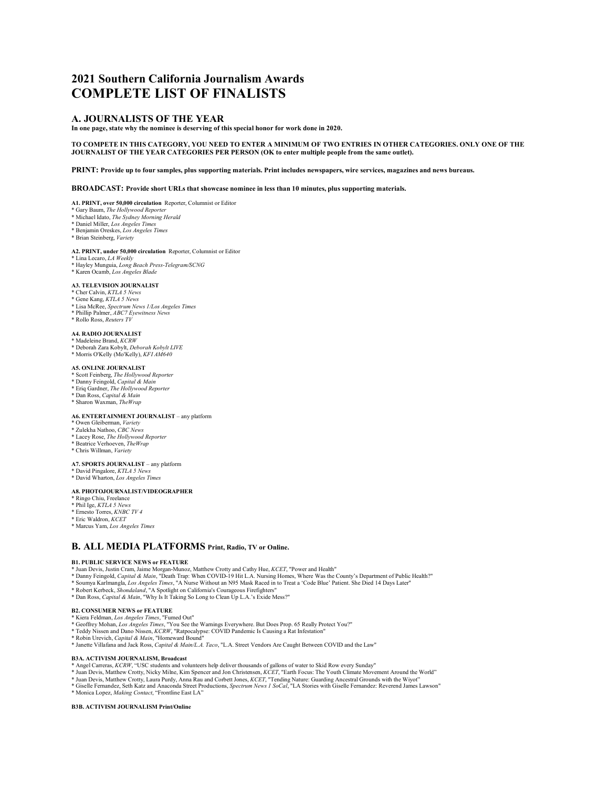# **2021 Southern California Journalism Awards COMPLETE LIST OF FINALISTS**

# **A. JOURNALISTS OF THE YEAR**

**In one page, state why the nominee is deserving of this special honor for work done in 2020.** 

### **TO COMPETE IN THIS CATEGORY, YOU NEED TO ENTER A MINIMUM OF TWO ENTRIES IN OTHER CATEGORIES. ONLY ONE OF THE JOURNALIST OF THE YEAR CATEGORIES PER PERSON (OK to enter multiple people from the same outlet).**

**PRINT: Provide up to four samples, plus supporting materials. Print includes newspapers, wire services, magazines and news bureaus.** 

**BROADCAST: Provide short URLs that showcase nominee in less than 10 minutes, plus supporting materials.** 

**A1. PRINT, over 50,000 circulation** Reporter, Columnist or Editor

- \* Gary Baum, *The Hollywood Reporter*
- \* Michael Idato, *The Sydney Morning Herald* \* Daniel Miller, *Los Angeles Times*
- \* Benjamin Oreskes, *Los Angeles Times*
- \* Brian Steinberg, *Variety*

# **A2. PRINT, under 50,000 circulation** Reporter, Columnist or Editor

- \* Lina Lecaro, *LA Weekly*
- \* Hayley Munguia, *Long Beach Press-Telegram/SCNG* \* Karen Ocamb, *Los Angeles Blade*
- 

# **A3. TELEVISION JOURNALIST**

- \* Cher Calvin, *KTLA 5 News*
- \* Gene Kang, *KTLA 5 News*
- \* Lisa McRee, *Spectrum News 1/Los Angeles Times* \* Phillip Palmer, *ABC7 Eyewitness News*
- \* Rollo Ross, *Reuters TV*
- 

# **A4. RADIO JOURNALIST** \* Madeleine Brand, *KCRW*

- \* Deborah Zara Kobylt, *Deborah Kobylt LIVE*
- 
- \* Morris O'Kelly (Mo'Kelly), *KFI AM640*

### **A5. ONLINE JOURNALIST**

- \* Scott Feinberg, *The Hollywood Reporter* \* Danny Feingold, *Capital & Main*
- \* Eriq Gardner, *The Hollywood Reporter*
- 
- \* Dan Ross, *Capital & Main* \* Sharon Waxman, *TheWrap*

### **A6. ENTERTAINMENT JOURNALIST** – any platform

- \* Owen Gleiberman, *Variety*
- \* Zulekha Nathoo, *CBC News*
- \* Lacey Rose, *The Hollywood Reporter*
- \* Beatrice Verhoeven, *TheWrap* \* Chris Willman, *Variety*
- 

#### **A7. SPORTS JOURNALIST** – any platform

- \* David Pingalore, *KTLA 5 News* \* David Wharton, *Los Angeles Times*
- 

### **A8. PHOTOJOURNALIST/VIDEOGRAPHER**

- \* Ringo Chiu, Freelance \* Phil Ige, *KTLA 5 News*
- 
- \* Ernesto Torres, *KNBC TV 4* \* Eric Waldron, *KCET*
- \* Marcus Yam, *Los Angeles Times*

# **B. ALL MEDIA PLATFORMS Print, Radio, TV or Online.**

#### **B1. PUBLIC SERVICE NEWS or FEATURE**

- 
- \* Juan Devis, Justin Cram, Jaime Morgan-Munoz, Matthew Crotty and Cathy Hue, *KCET*, "Power and Health"<br>\* Danny Feingold, *Capital & Main*, "Death Trap: When COVID-19 Hit L.A. Nursing Homes, Where Was the County's Departme
- 
- \* Robert Kerbeck, *Shondaland*, "A Spotlight on California's Courageous Firefighters"
- \* Dan Ross, *Capital & Main*, "Why Is It Taking So Long to Clean Up L.A.'s Exide Mess?"

### **B2. CONSUMER NEWS or FEATURE**

\* Kiera Feldman, *Los Angeles Times*, "Fumed Out"

- \* Geoffrey Mohan, *Los Angeles Times*, "You See the Warnings Everywhere. But Does Prop. 65 Really Protect You?" \* Teddy Nissen and Dano Nissen, *KCRW*, "Ratpocalypse: COVID Pandemic Is Causing a Rat Infestation"
- 
- \* Robin Urevich, *Capital & Main*, "Homeward Bound"
- \* Janette Villafana and Jack Ross, *Capital & Main/L.A. Taco*, "L.A. Street Vendors Are Caught Between COVID and the Law"

#### **B3A. ACTIVISM JOURNALISM, Broadcast**

- 
- \* Angel Carreras, *KCRW,* "USC students and volunteers help deliver thousands of gallons of water to Skid Row every Sunday"<br>\* Juan Devis, Matthew Crotty, Nicky Milne, Kim Spencer and Jon Christensen, *KCET*, "Earth Focus:
- \* Juan Devis, Matthew Crotty, Laura Purdy, Anna Rau and Corbett Jones, *KCET*, "Tending Nature: Guarding Ancestral Grounds with the Wiyot''<br>\* Giselle Fernandez, Seth Katz and Anaconda Street Productions, Spectrum News 1 So
- \* Monica Lopez, *Making Contact*, "Frontline East LA"

### **B3B. ACTIVISM JOURNALISM Print/Online**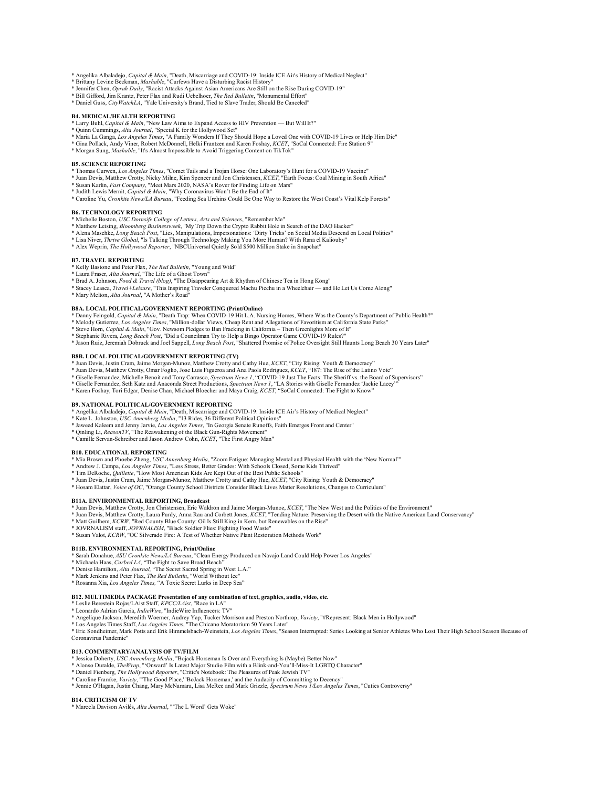- \* Angelika Albaladejo, *Capital & Main*, "Death, Miscarriage and COVID-19: Inside ICE Air's History of Medical Neglect" \* Brittany Levine Beckman, *Mashable*, "Curfews Have a Disturbing Racist History"
- 
- \* Jennifer Chen, *Oprah Daily*, "Racist Attacks Against Asian Americans Are Still on the Rise During COVID-19"
- \* Bill Gifford, Jim Krantz, Peter Flax and Rudi Uebelhoer, *The Red Bulletin*, "Monumental Effort" \* Daniel Guss, *CityWatchLA*, "Yale University's Brand, Tied to Slave Trader, Should Be Canceled"

#### **B4. MEDICAL/HEALTH REPORTING**

- 
- 
- \* Larry Buhl, *Capital & Main*, "New Law Aims to Expand Access to HIV Prevention But Will It?"<br>\* Quinn Cummings, *Alta Journal, "*Special K for the Hollywood Set"<br>\* Maria La Ganga, *Los Angeles Times,* "A Family Wonders
- \* Gina Pollack, Andy Viner, Robert McDonnell, Helki Frantzen and Karen Foshay, *KCET*, "SoCal Connected: Fire Station 9" \* Morgan Sung, *Mashable*, "It's Almost Impossible to Avoid Triggering Content on TikTok"

#### **B5. SCIENCE REPORTING**

- 
- \* Thomas Curwen, *Los Angeles Times*, "Comet Tails and a Trojan Horse: One Laboratory's Hunt for a COVID-19 Vaccine"<br>\* Juan Devis, Matthew Crotty, Nicky Milne, Kim Spencer and Jon Christensen, *KCET*, "Earth Focus: Coal Mi
- 
- \* Caroline Yu, *Cronkite News/LA Bureau*, "Feeding Sea Urchins Could Be One Way to Restore the West Coast's Vital Kelp Forests"

- **B6. TECHNOLOGY REPORTING** \* Michelle Boston, *USC Dornsife College of Letters, Arts and Sciences*, "Remember Me"
- \* Matthew Leising, *Bloomberg Businessweek*, "My Trip Down the Crypto Rabbit Hole in Search of the DAO Hacker"
- \* Alena Maschke, *Long Beach Post*, "Lies, Manipulations, Impersonations: 'Dirty Tricks' on Social Media Descend on Local Politics"<br>\* Lisa Niver, *Thrive Global*, "Is Talking Through Technology Making You More Human? With
- 
- \* Alex Weprin, *The Hollywood Reporter*, "NBCUniversal Quietly Sold \$500 Million Stake in Snapchat"

#### **B7. TRAVEL REPORTING**

- \* Kelly Bastone and Peter Flax, *The Red Bulletin*, "Young and Wild" \* Laura Fraser, *Alta Journal*, "The Life of a Ghost Town"
- 
- \* Brad A. Johnson, *Food & Travel (blog)*, "The Disappearing Art & Rhythm of Chinese Tea in Hong Kong"
- \* Stacey Leasca, *Travel+Leisure*, "This Inspiring Traveler Conquered Machu Picchu in a Wheelchair and He Let Us Come Along" \* Mary Melton, *Alta Journal*, "A Mother's Road"
- 

#### **B8A. LOCAL POLITICAL/GOVERNMENT REPORTING (Print/Online)**

- \* Danny Feingold, *Capital & Main*, "Death Trap: When COVID-19 Hit L.A. Nursing Homes, Where Was the County's Department of Public Health?"
- 
- 
- \* Melody Gutierrez*, Los Angeles Times*, "Million-dollar Views, Cheap Rent and Allegations of Favoritism at California State Parks"<br>\* Steve Hom, *Capital & Main*, "Gov. Newsom Pledges to Ban Fracking in California Then G
- 

#### **B8B. LOCAL POLITICAL/GOVERNMENT REPORTING (TV)**

\* Juan Devis, Justin Cram, Jaime Morgan-Munoz, Matthew Crotty and Cathy Hue, KCET, "City Rising: Youth & Democracy"<br>\* Juan Devis, Matthew Crotty, Omar Foglio, Jose Luis Figueroa and Ana Paola Rodriguez, KCET, "187: The Ris

- 
- \* Giselle Fernandez, Michelle Benoit and Tony Carrasco, Spectrum News 1, "COVID-19 Just The Facts: The Sheriff vs. the Board of Supervisors"<br>\* Giselle Fernandez, Seth Katz and Anaconda Street Productions, Spectrum News 1,
- 
- \* Karen Foshay, Tori Edgar, Denise Chan, Michael Bloecher and Maya Craig, *KCET*, "SoCal Connected: The Fight to Know"

### **B9. NATIONAL POLITICAL/GOVERNMENT REPORTING**

- \* Angelika Albaladejo, *Capital & Main*, "Death, Miscarriage and COVID-19: Inside ICE Air's History of Medical Neglect" \* Kate L. Johnston, *USC Annenberg Media*, "13 Rides, 36 Different Political Opinions"
- 
- \* Jaweed Kaleem and Jenny Jarvie, *Los Angeles Times*, "In Georgia Senate Runoffs, Faith Emerges Front and Center"
- \* Qinling Li, *ReasonTV*, "The Reawakening of the Black Gun-Rights Movement" \* Camille Servan-Schreiber and Jason Andrew Cohn, *KCET*, "The First Angry Man"
- 

#### **B10. EDUCATIONAL REPORTING**

- \* Mia Brown and Phoebe Zheng, *USC Annenberg Media*, "Zoom Fatigue: Managing Mental and Physical Health with the 'New Normal'"
- \* Andrew J. Campa, *Los Angeles Times*, "Less Stress, Better Grades: With Schools Closed, Some Kids Thrived"
- \* Tim DeRoche, *Quillette*, "How Most American Kids Are Kept Out of the Best Public Schools"
- \* Juan Devis, Justin Cram, Jaime Morgan-Munoz, Matthew Crotty and Cathy Hue, *KCET*, "City Rising: Youth & Democracy"
- \* Hosam Elattar, *Voice of OC*, "Orange County School Districts Consider Black Lives Matter Resolutions, Changes to Curriculum"

#### **B11A. ENVIRONMENTAL REPORTING, Broadcast**

- 
- \* Juan Devis, Matthew Crotty, Jon Christensen, Eric Waldron and Jaime Morgan-Munoz, *KCET*, "The New West and the Politics of the Environment"<br>\* Juan Devis, Matthew Crotty, Laura Purdy, Anna Rau and Corbett Jones, *KCET*,
- 
- \* JOVRNALISM staff, *JOVRNALISM*, "Black Soldier Flies: Fighting Food Waste"
- \* Susan Valot, *KCRW*, "OC Silverado Fire: A Test of Whether Native Plant Restoration Methods Work"

**B11B. ENVIRONMENTAL REPORTING, Print/Online** \* Sarah Donahue, *ASU Cronkite News/LA Bureau*, "Clean Energy Produced on Navajo Land Could Help Power Los Angeles"

- \* Michaela Haas, *Curbed LA,* "The Fight to Save Broad Beach"
- \* Denise Hamilton, *Alta Journal,* "The Secret Sacred Spring in West L.A." \* Mark Jenkins and Peter Flax, *The Red Bulletin*, "World Without Ice"
- 
- \* Rosanna Xia, *Los Angeles Times,* "A Toxic Secret Lurks in Deep Sea"

#### **B12. MULTIMEDIA PACKAGE Presentation of any combination of text, graphics, audio, video, etc.**

- 
- \* Leslie Berestein Rojas/LAist Staff, *KPCC/LAist, "*Race in LA"<br>\* Leonardo Adrian Garcia, *IndieWire,* "IndieWire Influencers: TV"<br>\* Angelique Jackson, Meredith Woerner, Audrey Yap, Tucker Morrison and Preston Northrop,
- 
- \* Los Angeles Times Staff, *Los Angeles Times,* "The Chicano Moratorium 50 Years Later"<br>\* Eric Sondheimer, Mark Potts and Erik Himmelsbach-Weinstein, *Los Angeles Times,* "Season Interrupted: Series Looking at Senior Athle Coronavirus Pandemic"

#### **B13. COMMENTARY/ANALYSIS OF TV/FILM**

- 
- \* Jessica Doherty, *USC Annenberg Media*, "Bojack Horseman Is Over and Everything Is (Maybe) Better Now"<br>\* Alonso Duralde, *TheWrap,* "'Onward' Is Latest Major Studio Film with a Blink-and-You'll-Miss-It LGBTQ Character"
- 
- 
- \* Daniel Fienberg*, The Hollywood Reporter*, "Critic's Notebook: The Pleasures of Peak Jewish TV"<br>\* Caroline Framke, *Variety,* "The Good Place,' 'Bolack Horseman,' and the Audacity of Committing to Decency"<br>\* Jennie O'Hag

#### **B14. CRITICISM OF TV**

\* Marcela Davison Avilés, *Alta Journal*, "'The L Word' Gets Woke"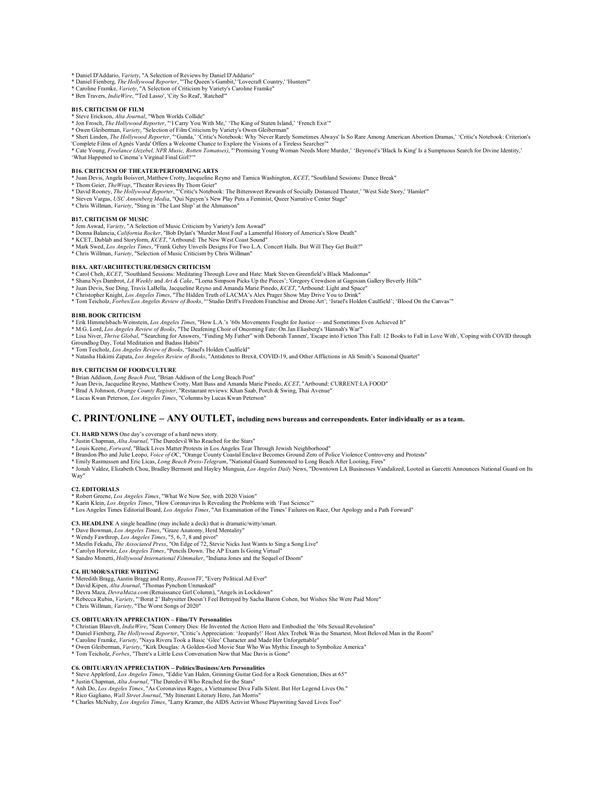\* Daniel D'Addario, *Variety*, "A Selection of Reviews by Daniel D'Addario" \* Daniel Fienberg, *The Hollywood Reporter*, "'The Queen's Gambit,' 'Lovecraft Country,' 'Hunters'"

- 
- \* Caroline Framke, *Variety*, "A Selection of Criticism by Variety's Caroline Framke" \* Ben Travers, *IndieWire*, "'Ted Lasso', 'City So Real', 'Ratched'"

#### **B15. CRITICISM OF FILM**

\* Steve Erickson, *Alta Journal*, "When Worlds Collide"

\* Jon Frosch, *The Hollywood Reporter*, "'I Carry You With Me,' 'The King of Staten Island,' 'French Exit'"

\* Owen Gleiberman, *Variety,* "Selection of Film Criticism by Variety's Owen Gleiberman"<br>\* Sheri Linden, *The Hollywood Reporter,* ""Gunda,' 'Critic's Notebook: Why 'Never Rarely Sometimes Always' Is So Rare Among American 'What Happened to Cinema's Virginal Final Girl?'"

#### **B16. CRITICISM OF THEATER/PERFORMING ARTS**

\* Juan Devis, Angela Boisvert, Matthew Crotty, Jacqueline Reyno and Tamica Washington, *KCET*, "Southland Sessions: Dance Break"

- 
- \* Thom Geier, *TheWrap*, "Theater Reviews By Thom Geier"<br>\* David Rooney, *The Hollywood Reporter*, "'Critic's Notebook: The Bittersweet Rewards of Socially Distanced Theater,' 'West Side Story,' 'Hamlet'"<br>\* Steven Vargas,
- 
- 

### **B17. CRITICISM OF MUSIC**

- \* Jem Aswad, *Variety*, "A Selection of Music Criticism by Variety's Jem Aswad"
- \* Donna Balancia, *California Rocker*, "Bob Dylan's 'Murder Most Foul' a Lamentful History of America's Slow Death" \* KCET, Dublab and Storyform, *KCET*, "Artbound: The New West Coast Sound"
- \* Mark Swed, *Los Angeles Times*, "Frank Gehry Unveils Designs For Two L.A. Concert Halls. But Will They Get Built?"
- \* Chris Willman, *Variety*, "Selection of Music Criticism by Chris Willman"

#### **B18A. ART/ARCHITECTURE/DESIGN CRITICISM**

- \* Carol Cheh, *KCET*, "Southland Sessions: Meditating Through Love and Hate: Mark Steven Greenfield's Black Madonnas"<br>\* Shana Nys Dambrot, *LA Weekly* and *Art & Cake*, "'Lorna Simpson Picks Up the Pieces'; 'Gregory Crewds
- \* Juan Devis, Sue Ding, Travis LaBella, Jacqueline Reyno and Amanda Marie Pinedo, *KCET*, "Artbound: Light and Space"<br>\* Christopher Knight, *Los Angeles Times*, "The Hidden Truth of LACMA's Alex Prager Show May Drive You t
- 
- \* Tom Teicholz, *Forbes/Los Angeles Review of Books*, "'Studio Drift's Freedom Franchise and Drone Art'; 'Israel's Holden Caulfield'; 'Blood On the Canvas'"

#### **B18B. BOOK CRITICISM**

- \* Erik Himmelsbach-Weinstein*, Los Angeles Times*, "How L.A.'s '60s Movements Fought for Justice—and Sometimes Even Achieved It"<br>\* M.G. Lord, *Los Angeles Review of Books*, "The Deafening Choir of Oncoming Fate: On Jan Eli
- 
- \* Lisa Niver, Thrive Global, ""Searching for Answers, "Finding My Father" with Deborah Tannen', 'Escape into Fiction This Fall: 12 Books to Fall in Love With', 'Coping with COVID through<br>Groundhog Day, Total Meditation and
- 
- \* Tom Teicholz, *Los Angeles Review of Books*, "Israel's Holden Caulfield"<br>\* Natasha Hakimi Zapata, *Los Angeles Review of Books*, "Antidotes to Brexit, COVID-19, and Other Afflictions in Ali Smith's Seasonal Quartet"

#### **B19. CRITICISM OF FOOD/CULTURE**

- 
- \* Brian Addison, *Long Beach Post*, "Brian Addison of the Long Beach Post" \* Juan Devis, Jacqueline Reyno, Matthew Crotty, Matt Bass and Amanda Marie Pinedo, *KCET*, "Artbound: CURRENT:LA FOOD"
- \* Brad A Johnson, *Orange County Register*, "Restaurant reviews: Khan Saab, Porch & Swing, Thai Avenue" \* Lucas Kwan Peterson, *Los Angeles Times*, "Columns by Lucas Kwan Peterson"
- 

# **C. PRINT/ONLINE – ANY OUTLET, including news bureaus and correspondents. Enter individually or as a team.**

**C1. HARD NEWS** One day's coverage of a hard news story.

- 
- \* Justin Chapman, *Alta Journal*, "The Daredevil Who Reached for the Stars"<br>\* Louis Keene, *Forward*, "Black Lives Matter Protests in Los Angeles Tear Through Jewish Neighborhood"<br>\* Brandon Pho and Julie Leopo, *Voice of O*
- 
- \* Emily Rasmussen and Eric Licas, *Long Beach Press-Telegram*, "National Guard Summoned to Long Beach After Looting, Fires"<br>\* Jonah Valdez, Elizabeth Chou, Bradley Bermont and Hayley Munguia, *Los Angeles Daily* News, "Dow
- Way"

#### **C2. EDITORIALS**

- \* Robert Greene, *Los Angeles Times*, "What We Now See, with 2020 Vision"
- 
- \* Karin Klein, *Los Angeles Times,* "How Coronavirus Is Revealing the Problems with 'Fast Science'"<br>\* Los Angeles Times Editorial Board, *Los Angeles Times*, "An Examination of the Times' Failures on Race, Our Apology and

#### **C3. HEADLINE** A single headline (may include a deck) that is dramatic/witty/smart.

- \* Dave Bowman, *Los Angeles Times*, "Graze Anatomy, Herd Mentality"
- 
- \* Wendy Fawthrop, *Los Angeles Times*, "5, 6, 7, 8 and pivot" \* Mesfin Fekadu, *The Associated Press*, "On Edge of 72, Stevie Nicks Just Wants to Sing a Song Live"
- \* Carolyn Horwitz, *Los Angeles Times*, "Pencils Down. The AP Exam Is Going Virtual"
- \* Sandro Monetti, *Hollywood International Filmmaker*, "Indiana Jones and the Sequel of Doom"

#### **C4. HUMOR/SATIRE WRITING**

- 
- \* Meredith Bragg, Austin Bragg and Remy, *ReasonTV,* "Every Political Ad Ever"<br>\* David Kipen*, Alta Journal,* "Thomas Pynchon Unmasked"<br>\* Devra Maza, *DevraMaza.com* (Renaissance Girl Column), "Angels in Lockdown"
- 
- \* Rebecca Rubin, *Variety*, "'Borat 2' Babysitter Doesn't Feel Betrayed by Sacha Baron Cohen, but Wishes She Were Paid More" \* Chris Willman, *Variety*, "The Worst Songs of 2020"
- 

#### **C5. OBITUARY/IN APPRECIATION – Film/TV Personalities**

- \* Christian Blauvelt, *IndieWire*, "Sean Connery Dies: He Invented the Action Hero and Embodied the '60s Sexual Revolution"<br>\* Daniel Fienberg, *The Hollywood Reporter*, "Critic's Appreciation: 'Jeopardy!' Host Alex Trebek
- 
- \* Tom Teicholz, *Forbes*, "There's a Little Less Conversation Now that Mac Davis is Gone"

#### **C6. OBITUARY/IN APPRECIATION – Politics/Business/Arts Personalities**

- \* Steve Appleford, *Los Angeles Times*, "Eddie Van Halen, Grinning Guitar God for a Rock Generation, Dies at 65" \* Justin Chapman, *Alta Journal*, "The Daredevil Who Reached for the Stars"
- 
- \* Anh Do, *Los Angeles Times*, "As Coronavirus Rages, a Vietnamese Diva Falls Silent. But Her Legend Lives On."
- \* Rico Gagliano, *Wall Street Journal*, "My Itinerant Literary Hero, Jan Morris"
- \* Charles McNulty, *Los Angeles Times*, "Larry Kramer, the AIDS Activist Whose Playwriting Saved Lives Too"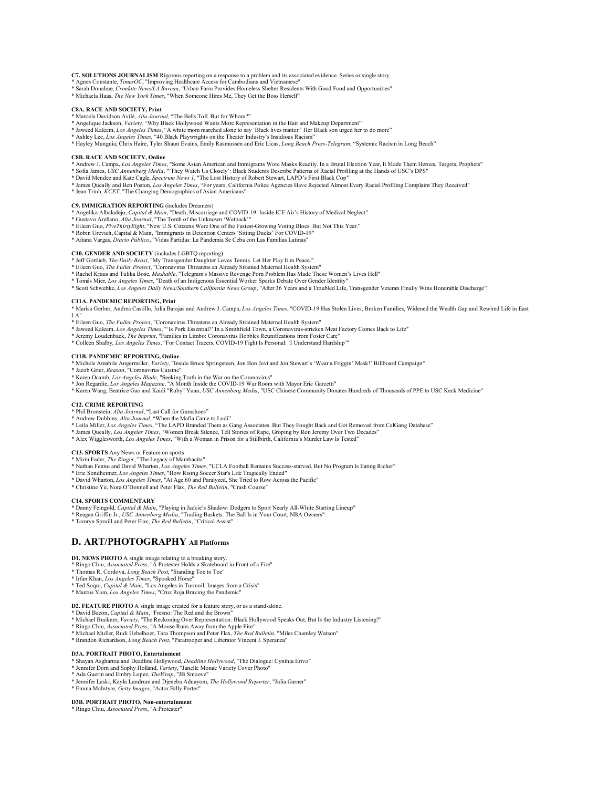C7. SOLUTIONS JOURNALISM Rigorous reporting on a response to a problem and its associated evidence. Series or single story.<br>\* Agnes Constante, *TimesOC*, "Improving Healthcare Access for Cambodians and Vietnamese"

- \* Sarah Donahue, *Cronkite News/LA Bureau*, "Urban Farm Provides Homeless Shelter Residents With Good Food and Opportunities"
- \* Michaela Haas, *The New York Times*, "When Someone Hires Me, They Get the Boss Herself"

#### **C8A. RACE AND SOCIETY, Print**

- \* Marcela Davidson Avilé, *Alta Journal*, "The Bells Toll. But for Whom?"
- \* Angelique Jackson, *Variety,* "Why Black Hollywood Wants More Representation in the Hair and Makeup Department"
- \* Jaweed Kaleem, *Los Angeles Times*, "A white mom marched alone to say 'Black lives matter.' Her Black son urged her to do more" \* Ashley Lee, *Los Angeles Times*, "40 Black Playwrights on the Theater Industry's Insidious Racism"
- \* Hayley Munguia, Chris Haire, Tyler Shaun Evains, Emily Rasmussen and Eric Licas, *Long Beach Press-Telegram*, "Systemic Racism in Long Beach"

#### **C8B. RACE AND SOCIETY, Online**

- \* Andrew J. Campa, *Los Angeles Times*, "Some Asian American and Immigrants Wore Masks Readily. In a Brutal Election Year, It Made Them Heroes, Targets, Prophets"<br>\* Sofia James, USC Annenberg Media, "'They Watch Us Closely
- \* David Mendez and Kate Cagle, *Spectrum News 1*, "The Lost History of Robert Stewart, LAPD's First Black Cop"
- \* James Queally and Ben Poston, *Los Angeles Times*, "For years, California Police Agencies Have Rejected Almost Every Racial Profiling Complaint They Received"<br>\* Jean Trinh, *KCET*, "The Changing Demographics of Asian Ame
- 

#### **C9. IMMIGRATION REPORTING** (includes Dreamers)

- \* Angelika Albaladejo, *Capital & Main*, "Death, Miscarriage and COVID-19: Inside ICE Air's History of Medical Neglect" \* Gustavo Arellano, *Alta Journal*, "The Tomb of the Unknown 'Wetback'"
- 
- \* Eileen Guo, *FiveThirtyEight*, "New U.S. Citizens Were One of the Fastest-Growing Voting Blocs. But Not This Year."
- \* Robin Urevich, Capital & Main, "Immigrants in Detention Centers 'Sitting Ducks' For COVID-19" \* Aitana Vargas, *Diario Público*, "Vidas Partidas: La Pandemia Se Ceba con Las Familias Latinas"
- 

- **C10. GENDER AND SOCIETY** (includes LGBTQ reporting) \* Jeff Gottlieb, *The Daily Beast*, "My Transgender Daughter Loves Tennis. Let Her Play It in Peace."
- \* Eileen Guo, *The Fuller Project,* "Coronavirus Threatens an Already Strained Maternal Health System"<br>\* Rachel Kraus and Tulika Bose, *Mashable,* "Telegram's Massive Revenge Porn Problem Has Made These Women's Lives Hell"
- 
- \* Scott Schwebke, *Los Angeles Daily News/Southern California News Group*, "After 36 Years and a Troubled Life, Transgender Veteran Finally Wins Honorable Discharge"

#### **C11A. PANDEMIC REPORTING, Print**

\* Marisa Gerber, Andrea Castillo, Julia Barajas and Andrew J. Campa, *Los Angeles Times*, "COVID-19 Has Stolen Lives, Broken Families, Widened the Wealth Gap and Rewired Life in East LA"

- 
- \* Eileen Guo, *The Fuller Project,* "Coronavirus Threatens an Already Strained Maternal Health System"<br>\* Jaweed Kaleem, *Los Angeles Times*, "'Is Pork Essential?' In a Smithfield Town, a Coronavirus-stricken Meat Factory C
- \* Jeremy Loudenback, *The Imprint*, "Families in Limbo: Coronavirus Hobbles Reunifications from Foster Care"
- \* Colleen Shalby, *Los Angeles Times*, "For Contact Tracers, COVID-19 Fight Is Personal: 'I Understand Hardship'"

C11B. PANDEMIC REPORTING, Online<br>\* Michele Amabile Angermiller, *Variety,* "Inside Bruce Springsteen, Jon Bon Jovi and Jon Stewart's 'Wear a Friggin' Mask!' Billboard Campaign"<br>\* Jacob Grier, *Reason*, "Coronavirus Cuisine

- 
- 
- \* Karen Ocamb, *Los Angeles Blade*, "Seeking Truth in the War on the Coronavirus" \* Jon Regardie, *Los Angeles Magazine*, "A Month Inside the COVID-19 War Room with Mayor Eric Garcetti"
- \* Karen Wang, Beatrice Gao and Kaidi "Ruby" Yuan, *USC Annenberg Media*, "USC Chinese Community Donates Hundreds of Thousands of PPE to USC Keck Medicine"

#### **C12. CRIME REPORTING**

- \* Phil Bronstein, *Alta Journal*, "Last Call for Gumshoes" \* Andrew Dubbins, *Alta Journal*, "When the Mafia Came to Lodi"
- 
- \* Leila Miller, *Los Angeles Times*, "The LAPD Branded Them as Gang Associates. But They Fought Back and Got Removed from CalGang Database"
- \* James Queally, *Los Angeles Times*, "Women Break Silence, Tell Stories of Rape, Groping by Ron Jeremy Over Two Decades"<br>\* Alex Wigglesworth, *Los Angeles Times*, "With a Woman in Prison for a Stillbirth, California's Mur
- 

# **C13. SPORTS** Any News or Feature on sports

- \* Mirin Fader, *The Ringer*, "The Legacy of Mambacita"
- \* Nathan Fenno and David Wharton*, Los Angeles Times,* "UCLA Football Remains Success-starved, But No Program Is Eating Richer"<br>\* Eric Sondheimer, *Los Angeles Times*, "How Rising Soccer Star's Life Tragically Ended"<br>\* Dav
- 
- 
- \* Christine Yu, Nora O'Donnell and Peter Flax, *The Red Bulletin*, "Crash Course"

#### **C14. SPORTS COMMENTARY**

- \* Danny Feingold, *Capital & Main,* "Playing in Jackie's Shadow: Dodgers to Sport Nearly All-White Starting Lineup"<br>\* Reagan Griffin Jr., USC *Annenberg Media, "*Trading Baskets: The Ball Is in Your Court, NBA Owners"<br>\* Ta
- 
- 

# **D. ART/PHOTOGRAPHY All Platforms**

# **D1. NEWS PHOTO** A single image relating to a breaking story. \* Ringo Chiu, *Associated Press*, "A Protester Holds a Skateboard in Front of a Fire"

- 
- 
- \* Thomas R. Cordova, *Long Beach Post*, "Standing Toe to Toe"<br>\* Irfan Khan, *Los Angeles Times*, "Spooked Horse"<br>\* Ted Soqui, *Capital & Main*, "Los Angeles in Turmoil: Images from a Crisis"<br>\* Marcus Yam, *Los Angeles Time*
- 

#### **D2. FEATURE PHOTO** A single image created for a feature story, or as a stand-alone. \* David Bacon, *Capital & Main*, "Fresno: The Red and the Brown"

- \* Michael Buckner, *Variety*, "The Reckoning Over Representation: Black Hollywood Speaks Out, But Is the Industry Listening?"
- 
- \* Ringo Chiu, *Associated Press*, "A Mouse Runs Away from the Apple Fire" \* Michael Muller, Rudi Uebelhoer, Tara Thompson and Peter Flax, *The Red Bulletin*, "Miles Chamley Watson"
- \* Brandon Richardson, *Long Beach Post*, "Paratrooper and Liberator Vincent J. Speranza"

#### **D3A. PORTRAIT PHOTO, Entertainment**

- \* Shayan Asgharnia and Deadline Hollywood, *Deadline Hollywood*, "The Dialogue: Cynthia Erivo"
- 
- 
- \* Jennifer Dorn and Sophy Holland, *Variet*y, "Janelle Monae Variety Cover Photo"<br>\* Ada Guerin and Embry Lopez, *TheWrap*, "IB Smoove"<br>\* Jennifer Laski, Kayla Landrum and Djeneba Aduayom, *The Hollywood Reporter*, "Julia G \* Emma McIntyre, *Getty Images*, "Actor Billy Porter"

#### **D3B. PORTRAIT PHOTO, Non-entertainment**

\* Ringo Chiu, *Associated Press*, "A Protester"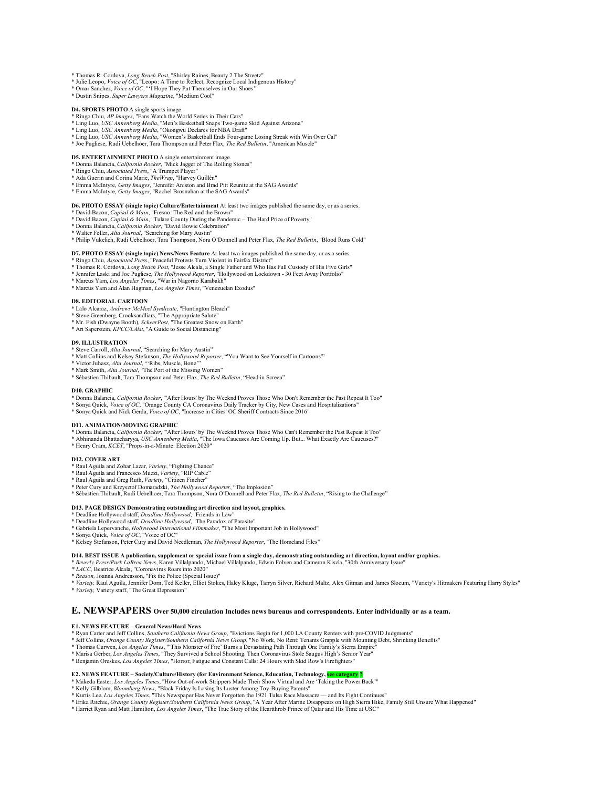- \* Thomas R. Cordova, *Long Beach Post*, "Shirley Raines, Beauty 2 The Streetz" \* Julie Leopo, *Voice of OC*, "Leopo: A Time to Reflect, Recognize Local Indigenous History"
- 
- \* Omar Sanchez, *Voice of OC*, "'I Hope They Put Themselves in Our Shoes'" \* Dustin Snipes, *Super Lawyers Magazine*, "Medium Cool"

- **D4. SPORTS PHOTO** A single sports image. \* Ringo Chiu, *AP Images*, "Fans Watch the World Series in Their Cars"
- 
- 
- \* Ling Luo, *USC Annenberg Media*, "Men's Basketball Snaps Two-game Skid Against Arizona"<br>\* Ling Luo, *USC Annenberg Media*, "Okongwu Declares for NBA Draft"<br>\* Ling Luo, *USC Annenberg Media*, "Women's Basketball Ends Four
- 

# **D5. ENTERTAINMENT PHOTO** A single entertainment image.

- \* Donna Balancia, *California Rocker*, "Mick Jagger of The Rolling Stones" \* Ringo Chiu, *Associated Press*, "A Trumpet Player"
- \* Ada Guerin and Corina Marie, *TheWrap*, "Harvey Guillén"
- 
- \* Emma McIntyre, *Getty Images*, "Jennifer Aniston and Brad Pitt Reunite at the SAG Awards" \* Emma McIntyre, *Getty Images*, "Rachel Brosnahan at the SAG Awards"

#### **D6. PHOTO ESSAY (single topic) Culture/Entertainment** At least two images published the same day, or as a series.

- 
- \* David Bacon, *Capital & Main*, "Fresno: The Red and the Brown" \* David Bacon, *Capital & Main*, "Tulare County During the Pandemic The Hard Price of Poverty"
- \* Donna Balancia, *California Rocker*, "David Bowie Celebration"
- \* Walter Feller, *Alta Journal*, "Searching for Mary Austin" \* Philip Vukelich, Rudi Uebelhoer, Tara Thompson, Nora O'Donnell and Peter Flax, *The Red Bulletin*, "Blood Runs Cold"

- **D7. PHOTO ESSAY (single topic) News/News Feature** At least two images published the same day, or as a series. \* Ringo Chiu, *Associated Press*, "Peaceful Protests Turn Violent in Fairfax District"
- \* Thomas R. Cordova, *Long Beach Post*, "Jesse Alcala, a Single Father and Who Has Full Custody of His Five Girls"<br>\* Jennifer Laski and Joe Puglises, *The Hollywood Reporte*r, "Hollywood on Lockdown 30 Feet Away Portfoli
- 
- 
- \* Marcus Yam and Alan Hagman, *Los Angeles Times*, "Venezuelan Exodus"

#### **D8. EDITORIAL CARTOON**

- \* Lalo Alcaraz, *Andrews McMeel Syndicate*, "Huntington Bleach" \* Steve Greenberg, Crooksandliars, "The Appropriate Salute"
- 
- \* Mr. Fish (Dwayne Booth), *ScheerPost*, "The Greatest Snow on Earth" \* Ari Saperstein, *KPCC/LAist*, "A Guide to Social Distancing"
- 

#### **D9. ILLUSTRATION**

- 
- \* Steve Carroll, *Alta Journal*, "Searching for Mary Austin"<br>\* Matt Collins and Kelsey Stefanson, *The Hollywood Reporter*, "'You Want to See Yourself in Cartoons'"<br>\* Victor Juhasz, *Alta Journal*, "'Ribs, Muscle, Bone'"<br>\*
- 
- 
- \* Sébastien Thibault, Tara Thompson and Peter Flax, *The Red Bulletin*, "Head in Screen"

#### **D10. GRAPHIC**

- \* Donna Balancia, *California Rocker*, "'After Hours' by The Weeknd Proves Those Who Don't Remember the Past Repeat It Too"<br>\* Sonya Quick, *Voice of OC,* "Orange County CA Coronavirus Daily Tracker by City, New Cases and H
- 
- 

#### **D11. ANIMATION/MOVING GRAPHIC**

- \* Donna Balancia, California Rocker, "'After Hours' by The Weeknd Proves Those Who Can't Remember the Past Repeat It Too"<br>\* Abhinanda Bhattacharyya, USC Annenberg Media, "The Iowa Caucuses Are Coming Up. But... What Exactl
- \* Henry Cram, *KCET*, "Props-in-a-Minute: Election 2020"
- 

### **D12. COVER ART**

- \* Raul Aguila and Zohar Lazar, *Variety*, "Fighting Chance" \* Raul Aguila and Francesco Muzzi, *Variety*, "RIP Cable"
- 
- \* Raul Aguila and Greg Ruth, *Variety*, "Citizen Fincher"
- 
- \* Peter Cury and Krzysztof Domaradzki, *The Hollywood Reporter*, "The Implosion" \* Sébastien Thibault, Rudi Uebelhoer, Tara Thompson, Nora O'Donnell and Peter Flax, *The Red Bulletin*, "Rising to the Challenge"

# D13. PAGE DESIGN Demonstrating outstanding art direction and layout, graphics.<br>\* Deadline Hollywood staff, *Deadline Hollywood*, "Friends in Law"<br>\* Deadline Hollywood staff, *Deadline Hollywood*, "The Paradox of Parasite"

\* Gabriela Lepervanche, *Hollywood International Filmmaker*, "The Most Important Job in Hollywood" \* Sonya Quick, *Voice of OC*, "Voice of OC"

\* Kelsey Stefanson, Peter Cury and David Needleman, *The Hollywood Reporter*, "The Homeland Files"

#### **D14. BEST ISSUE A publication, supplement or special issue from a single day, demonstrating outstanding art direction, layout and/or graphics.**

- \* *Beverly Press/Park LaBrea News*, Karen Villalpando, Michael Villalpando, Edwin Folven and Cameron Kiszla, "30th Anniversary Issue"
- *\* LACC,* Beatrice Alcala, "Coronavirus Roars into 2020"
- \* *Reason,* Joanna Andreasson, "Fix the Police (Special Issue)"
- \* *Variety,* Raul Aguila, Jennifer Dorn, Ted Keller, Elliot Stokes, Haley Kluge, Tarryn Silver, Richard Maltz, Alex Gitman and James Slocum, "Variety's Hitmakers Featuring Harry Styles" \* *Variety,* Variety staff, "The Great Depression"

# **E. NEWSPAPERS Over 50,000 circulation Includes news bureaus and correspondents. Enter individually or as a team.**

#### **E1. NEWS FEATURE – General News/Hard News**

- 
- \* Ryan Carter and Jeff Collins, *Southern California News Group*, "Evictions Begin for 1,000 LA County Renters with pre-COVID Judgments"<br>\* Jeff Collins, *Orange County Register/Southern California News Group*, "No Work, No
- 
- 
- 

# E**2. NEWS FEATURE – Society/Culture/History (for Environment Science, Education, Technology, <mark>see category</mark> <mark>?</mark><br>\* Makeda Easter,** *Los Angeles Times,* **"How Out-of-work Strippers Made Their Show Virtual and Are 'Taking the P**

- 
- \* Kurtis Lee, *Los Angeles Times,* "This Newspaper Has Never Forgotten the 1921 Tulsa Race Massacre and Its Fight Continues"<br>\* Erika Ritchie, *Orange County Register/Southern California News Group,* "A Year After Marine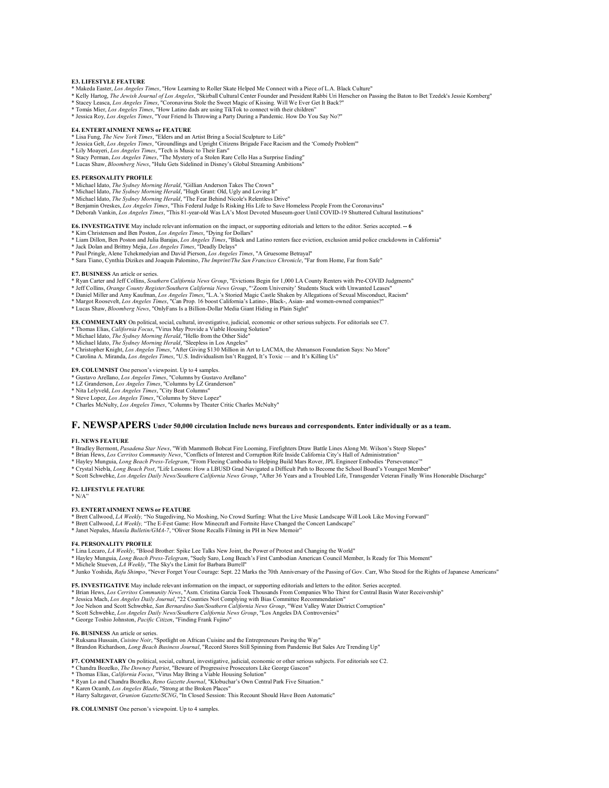#### **E3. LIFESTYLE FEATURE**

- 
- \* Makeda Easter, *Los Angeles Times*, "How Learning to Roller Skate Helped Me Connect with a Piece of L.A. Black Culture"<br>\* Kelly Hartog, *The Jewish Journal of Los Angeles*, "Skirball Cultural Center Founder and President
- 
- 

#### **E4. ENTERTAINMENT NEWS or FEATURE**

- 
- \* Lisa Fung, *The New York Times*, "Elders and an Artist Bring a Social Sculpture to Life" \* Jessica Gelt, *Los Angeles Times*, "Groundlings and Upright Citizens Brigade Face Racism and the 'Comedy Problem'"
- 
- \* Lily Moayeri, *Los Angeles Times,* "Tech is Music to Their Ears"<br>\* Stacy Perman, *Los Angeles Times,* "The Mystery of a Stolen Rare Cello Has a Surprise Ending"<br>\* Lucas Shaw, *Bloomberg News,* "Hulu Gets Sidelined in Dis
- 

#### **E5. PERSONALITY PROFILE**

- 
- 
- 
- \* Michael Idato, *The Sydney Morning Herald*, "Gillian Anderson Takes The Crown"<br>\* Michael Idato, *The Sydney Morning Herald*, "Hugh Grant: Old, Ugly and Loving It"<br>\* Michael Idato, *The Sydney Morning Herald*, "The Fear B
- \* Deborah Vankin, *Los Angeles Times*, "This 81-year-old Was LA's Most Devoted Museum-goer Until COVID-19 Shuttered Cultural Institutions"

#### **E6. INVESTIGATIVE** May include relevant information on the impact, or supporting editorials and letters to the editor. Series accepted. **-- 6**

- 
- \* Kim Christensen and Ben Poston, *Los Angeles Times,* "Dying for Dollars"<br>\* Liam Dillon, Ben Poston and Julia Barajas, *Los Angeles Times*, "Black and Latino renters face eviction, exclusion amid police crackdowns in Cali \* Jack Dolan and Brittny Mejia, *Los Angeles Times*, "Deadly Delays"
- 
- \* Paul Pringle, Alene Tchekmedyian and David Pierson, *Los Angeles Times*, "A Gruesome Betrayal"<br>\* Sara Tiano, Cynthia Dizikes and Joaquin Palomino, *The Imprint/The San Francisco Chronicle*, "Far from Home, Far from Safe"

#### **E7. BUSINESS** An article or series.

- \* Ryan Carter and Jeff Collins, *Southern California News Group*, "Evictions Begin for 1,000 LA County Renters with Pre-COVID Judgments"
- \* Jeff Collins, *Orange County Register/Southern California News Group*, "'Zoom University' Students Stuck with Unwanted Leases"<br>\* Daniel Miller and Amy Kaufman, *Los Angeles Times*, "L.A.'s Storied Magic Castle Shaken by
- 
- \* Margot Roosevelt, *Los Angeles Times*, "Can Prop. 16 boost California's Latino-, Black-, Asian- and women-owned companies?"
- \* Lucas Shaw, *Bloomberg News*, "OnlyFans Is a Billion-Dollar Media Giant Hiding in Plain Sight"

- 
- 
- 
- **E8. COMMENTARY** On political, social, cultural, investigative, judicial, economic or other serious subjects. For editorials see C7.<br>\* Thomas Elias, *California Focus, "Virus May Provide a Viable Housing Solution"*<br>\* Micha

### **E9. COLUMNIST** One person's viewpoint. Up to 4 samples.

- 
- \* Gustavo Arellano, *Los Angeles Times*, "Columns by Gustavo Arellano" \* LZ Granderson, *Los Angeles Times*, "Columns by LZ Granderson"
- 
- 
- \* Nita Lelyveld, *Los Angeles Times*, "City Beat Columns"<br>\* Steve Lopez, *Los Angeles Times,* "Columns by Steve Lopez"<br>\* Charles McNulty, *Los Angeles Times*, "Columns by Theater Critic Charles McNulty"

### **F. NEWSPAPERS Under 50,000 circulation Include news bureaus and correspondents. Enter individually or as a team.**

#### **F1. NEWS FEATURE**

- 
- \* Bradley Bermont, Pasadena Star News, "With Mammoth Bobcat Fire Looming, Firefighters Draw Battle Lines Along Mt. Wilson's Steep Slopes"<br>\* Brian Hews, *Los Cerritos Community News*, "Conflicts of Interest and Corruption R
- \* Hayley Munguia, *Long Beach Press-Telegram*, "From Fleeing Cambodia to Helping Build Mars Rover, JPL Engineer Embodies 'Perseverance'"
- 
- \* Crystal Niebla, *Long Beach Post*, "Life Lessons: How a LBUSD Grad Navigated a Difficult Path to Become the School Board's Youngest Member"<br>\* Scott Schwebke, *Los Angeles Daily News/Southern California News Group*, "Afte

### **F2. LIFESTYLE FEATURE**

 $* N/A"$ 

#### **F3. ENTERTAINMENT NEWS or FEATURE**

- \* Brett Callwood, *LA Weekly,* "No Stagediving, No Moshing, No Crowd Surfing: What the Live Music Landscape Will Look Like Moving Forward"<br>\* Brett Callwood, *LA Weekly,* "The E-Fest Game: How Minecraft and Fortnite Have Ch
- 
- \* Janet Nepales, *Manila Bulletin/GMA-7*, "Oliver Stone Recalls Filming in PH in New Memoir"

#### **F4. PERSONALITY PROFILE**

- \* Lina Lecaro, *LA Weekly*, "Blood Brother: Spike Lee Talks New Joint, the Power of Protest and Changing the World"
- \* Hayley Munguia, *Long Beach Press-Telegram*, "Suely Saro, Long Beach's First Cambodian American Council Member, Is Ready for This Moment" \* Michele Stueven, *LA Weekly*, "The Sky's the Limit for Barbara Burrell"
- 
- \* Junko Yoshida, *Rafu Shimpo*, "Never Forget Your Courage: Sept. 22 Marks the 70th Anniversary of the Passing of Gov. Carr, Who Stood for the Rights of Japanese Americans"
- 
- F5. INVESTIGATIVE May include relevant information on the impact, or supporting editorials and letters to the editor. Series accepted.<br>\* Brian Hews, Los Cerritos Community News, "Asm. Cristina Garcia Took Thousands From Co
- \* Jessica Mach, *Los Angeles Daily Journal*, "22 Counties Not Complying with Bias Committee Recommendation"
- \* Joe Nelson and Scott Schwebke, San Bernardino Sun/Southern California News Group, "West Valley Water District Corruption"<br>\* Scott Schwebke, Los Angeles Daily News/Southern California News Group, "Los Angeles DA Controver
- 
- \* George Toshio Johnston, *Pacific Citizen*, "Finding Frank Fujino"

#### **F6. BUSINESS** An article or series.

- 
- \* Ruksana Hussain, *Cuisine Noir*, "Spotlight on African Cuisine and the Entrepreneurs Paving the Way"<br>\* Brandon Richardson, *Long Beach Business Journal*, "Record Stores Still Spinning from Pandemic But Sales Are Trending

**F7. COMMENTARY** On political, social, cultural, investigative, judicial, economic or other serious subjects. For editorials see C2.

- \* Chandra Bozelko, *The Downey Patriot*, "Beware of Progressive Prosecutors Like George Gascon"
- \* Thomas Elias, *California Focus*, "Virus May Bring a Viable Housing Solution"
- \* Ryan Lo and Chandra Bozelko, *Reno Gazette Journal*, "Klobuchar's Own Central Park Five Situation."
- \* Karen Ocamb, *Los Angeles Blade*, "Strong at the Broken Places" \* Harry Saltzgaver, *Grunion Gazette/SCNG*, "In Closed Session: This Recount Should Have Been Automatic"

**F8. COLUMNIST** One person's viewpoint. Up to 4 samples.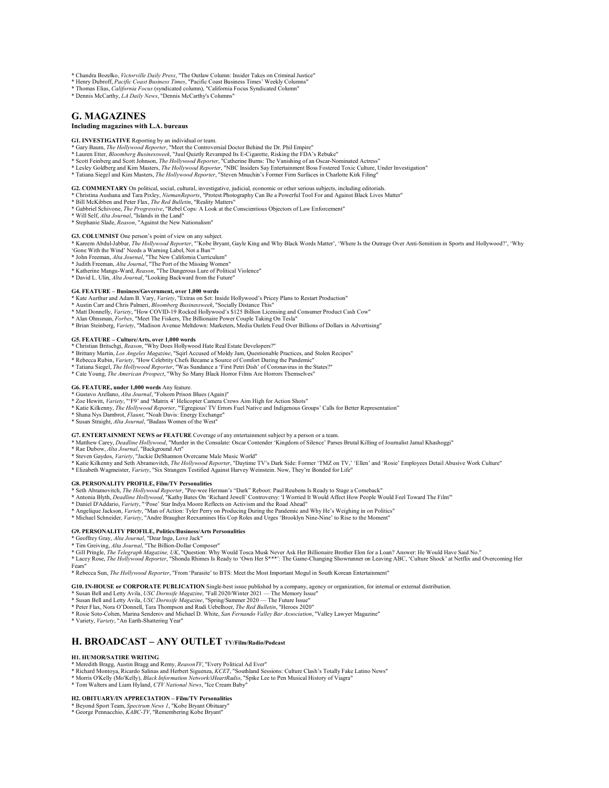\* Chandra Bozelko, *Victorville Daily Press*, "The Outlaw Column: Insider Takes on Criminal Justice" \* Henry Dubroff, *Pacific Coast Business Times*, "Pacific Coast Business Times' Weekly Columns"

- \* Thomas Elias, *California Focus* (syndicated column), "California Focus Syndicated Column"
- \* Dennis McCarthy, *LA Daily News*, "Dennis McCarthy's Columns"

# **G. MAGAZINES**

# **Including magazines with L.A. bureaus**

# **G1. INVESTIGATIVE** Reporting by an individual or team.

- \* Gary Baum, *The Hollywood Reporter*, "Meet the Controversial Doctor Behind the Dr. Phil Empire"
- \* Lauren Etter, *Bloomberg Businessweek,* "Juul Quietly Revamped Its E-Cigarette, Risking the FDA's Rebuke"<br>\* Scott Feinberg and Scott Johnson, *The Hollywood Reporter*, "Catherine Burns: The Vanishing of an Oscar-Nominate
- 
- \* Lesley Goldberg and Kim Masters, *The Hollywood Reporter*, "NBC Insiders Say Entertainment Boss Fostered Toxic Culture, Under Investigation"<br>\* Tatiana Siegel and Kim Masters, *The Hollywood Reporter*, "Steven Mnuchin's F
- 

**G2. COMMENTARY** On political, social, cultural, investigative, judicial, economic or other serious subjects, including editorials.<br>\* Christina Aushana and Tara Pixley, *NiemanReports*, "Protest Photography Can Be a Powerf

- 
- \* Bill McKibben and Peter Flax, *The Red Bulletin*, "Reality Matters"
- \* Gabbriel Schivone, *The Progressive*, "Rebel Cops: A Look at the Conscientious Objectors of Law Enforcement" \* Will Self, *Alta Journal*, "Islands in the Land"
- \* Stephanie Slade, *Reason*, "Against the New Nationalism"

#### **G3. COLUMNIST** One person's point of view on any subject.

\* Kareem Abdul-Jabbar, The Hollywood Reporter, "'Kobe Bryant, Gayle King and Why Black Words Matter', 'Where Is the Outrage Over Anti-Semitism in Sports and Hollywood?', 'Why 'Gone With the Wind' Needs a Warning Label, Not

- \* John Freeman, *Alta Journal*, "The New California Curriculum" \* Judith Freeman, *Alta Journal*, "The Port of the Missing Women"
- 
- \* Katherine Mangu-Ward, *Reason*, "The Dangerous Lure of Political Violence"
- \* David L. Ulin, *Alta Journal*, "Looking Backward from the Future"

#### **G4. FEATURE – Business/Government, over 1,000 words**

\* Kate Aurthur and Adam B. Vary, *Variety*, "Extras on \$et: Inside Hollywood's Pricey Plans to Restart Production" \* Austin Carr and Chris Palmeri, *Bloomberg Businessweek*, "Socially Distance This"

- 
- \* Matt Donnelly, *Variety*, "How COVID-19 Rocked Hollywood's \$125 Billion Licensing and Consumer Product Cash Cow" \* Alan Ohnsman, *Forbes*, "Meet The Fiskers, The Billionaire Power Couple Taking On Tesla"
- \* Brian Steinberg, *Variety*, "Madison Avenue Meltdown: Marketers, Media Outlets Feud Over Billions of Dollars in Advertising"

#### **G5. FEATURE – Culture/Arts, over 1,000 words**

- \* Christian Britschgi*, Reason,* "Why Does Hollywood Hate Real Estate Developers?"<br>\* Brittany Martin*, Los Angeles Magazine,* "Sqirl Accused of Moldy Jam, Questionable Practices, and Stolen Recipes"<br>\* Rebecca Rubin*, Varie*
- 
- \* Tatiana Siegel, *The Hollywood Reporter*, "Was Sundance a 'First Petri Dish' of Coronavirus in the States?" \* Cate Young, *The American Prospect*, "Why So Many Black Horror Films Are Horrors Themselves"
- 

- 
- 
- G6. FEATURE, under 1,000 words Any feature.<br>\* Gustavo Arellano, Alta Journal, "Folsom Prison Blues (Again)"<br>\* Zoe Hewitt, *Variety*, "F9' and "Matrix 4' Helicopter Camera Crews Aim High for Action Shots"<br>\* Katie Kilkenny,
- 
- 

# **G7. ENTERTAINMENT NEWS or FEATURE** Coverage of any entertainment subject by a person or a team.

- \* Matthew Carey, *Deadline Hollywood*, "Murder in the Consulate: Oscar Contender 'Kingdom of Silence' Parses Brutal Killing of Journalist Jamal Khashoggi"
- \* Rae Dubow, *Alta Journal*, "Background Art"
- 
- \* Steven Gaydos, *Variety*, "Jackie DeShannon Overcame Male Music World"<br>\* Katie Kilkenny and Seth Abramovitch, *The Hollywood Reporter*, "Daytime TV's Dark Side: Former 'TMZ on TV,' 'Ellen' and 'Rosie' Employees Detail Ab
- \* Elizabeth Wagmeister, *Variety*, "Six Strangers Testified Against Harvey Weinstein. Now, They're Bonded for Life"

#### **G8. PERSONALITY PROFILE, Film/TV Personalities**

- 
- \* Seth Abramovitch, *The Hollywood Reporte*r, "Pee-wee Herman's "Dark" Reboot: Paul Reubens Is Ready to Stage a Comeback"<br>\* Antonia Blyth, *Deadline Hollywood*, "Kathy Bates On 'Richard Jewell' Controversy: 'I Worried It W
- \* Daniel D'Addario, *Variety*, "'Pose' Star Indya Moore Reflects on Activism and the Road Ahead"
- 
- \* Angelique Jackson, *Variety*, "Man of Action: Tyler Perry on Producing During the Pandemic and Why He's Weighing in on Politics"<br>\* Michael Schneider, *Variety*, "Andre Braugher Reexamines His Cop Roles and Urges 'Brookly

#### **G9. PERSONALITY PROFILE, Politics/Business/Arts Personalities**

- \* Geoffrey Gray, *Alta Journal*, "Dear Inga, Love Jack" \* Tim Greiving, *Alta Journal*, "The Billion-Dollar Composer"
- 

\* Gill Pringle, *The Telegraph Magazine, UK*, "Question: Why Would Tosca Musk Never Ask Her Billionaire Brother Elon for a Loan? Answer: He Would Have Said No."<br>\* Lacey Rose, *The Hollywood Reporter*, "Shonda Rhimes Is Rea

Fears"

\* Rebecca Sun, *The Hollywood Reporter*, "From 'Parasite' to BTS: Meet the Most Important Mogul in South Korean E

**G10. IN-HOUSE or CORPORATE PUBLICATION** Single-best issue published by a company, agency or organization, for internal or external distribution.<br>\* Susan Bell and Letty Avila, *USC Dornsife Magazine*, "Fall 2020/Winter 202

- 
- 
- 
- \* Rosie Soto-Cohen, Marina Senderov and Michael D. White, *San Fernando Valley Bar Association*, "Valley Lawyer Magazine"
- \* Variety, *Variety*, "An Earth-Shattering Year"

## **H. BROADCAST – ANY OUTLET TV/Film/Radio/Podcast**

#### **H1. HUMOR/SATIRE WRITING**

- \* Meredith Bragg, Austin Bragg and Remy, *ReasonTV*, "Every Political Ad Ever"
- \* Richard Montoya, Ricardo Salinas and Herbert Siguenza, *KCET*, "Southland Sessions: Culture Clash's Totally Fake Latino News"
- \* Morris O'Kelly (Mo'Kelly), *Black Information Network/iHeartRadio*, "Spike Lee to Pen Musical History of Viagra" \* Tom Walters and Liam Hyland, *CTV National News*, "Ice Cream Baby"
- 

# **H2. OBITUARY/IN APPRECIATION – Film/TV Personalities** \* Beyond Sport Team, *Spectrum News 1*, "Kobe Bryant Obituary" \* George Pennacchio, *KABC-TV*, "Remembering Kobe Bryant"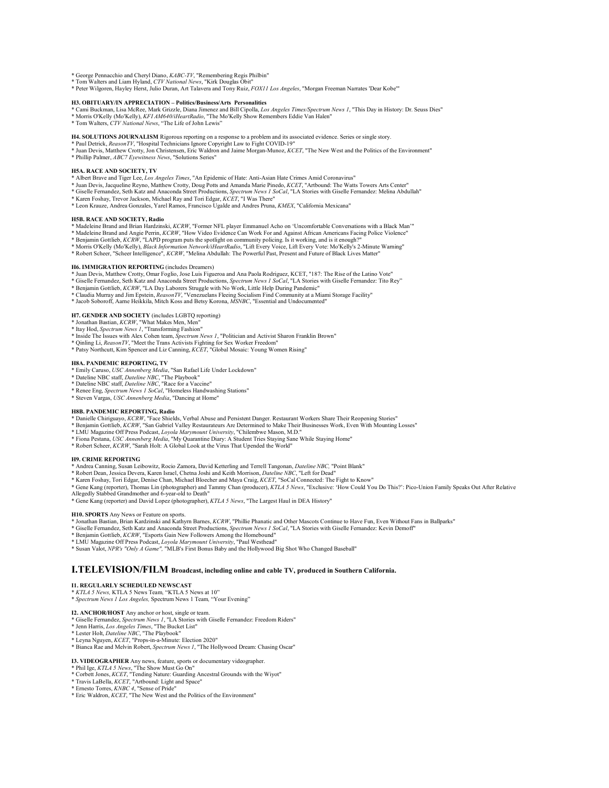\* George Pennacchio and Cheryl Diano, *KABC-TV*, "Remembering Regis Philbin" \* Tom Walters and Liam Hyland, *CTV National News*, "Kirk Douglas Obit"

\* Peter Wilgoren, Hayley Herst, Julio Duran, Art Talavera and Tony Ruiz, *FOX11 Los Angeles*, "Morgan Freeman Narrates 'Dear Kobe'"

#### **H3. OBITUARY/IN APPRECIATION – Politics/Business/Arts Personalities**

- \* Cami Buckman, Lisa McRee, Mark Grizzle, Diana Jimenez and Bill Cipolla, *Los Angeles Times/Spectrum News 1*, "This Day in History: Dr. Seuss Dies"<br>\* Morris O'Kelly (Mo'Kelly), *KFI AM640/iHeartRadio,* "The Mo'Kelly Show
- 
- \* Tom Walters, *CTV National News*, "The Life of John Lewis"

**H4. SOLUTIONS JOURNALISM** Rigorous reporting on a response to a problem and its associated evidence. Series or single story.

- \* Paul Detrick, *ReasonTV,* "Hospital Technicians Ignore Copyright Law to Fight COVID-19"<br>\* Juan Devis, Matthew Crotty, Jon Christensen, Eric Waldron and Jaime Morgan-Munoz, *KCET*, "The New West and the Politics of the En
- 
- \* Phillip Palmer, *ABC7 Eyewitness News*, "Solutions Series"

#### **H5A. RACE AND SOCIETY, TV**

- \* Albert Brave and Tiger Lee, *Los Angeles Times*, "An Epidemic of Hate: Anti-Asian Hate Crimes Amid Coronavirus"
- \* Juan Devis, Jacqueline Reyno, Matthew Crotty, Doug Potts and Amanda Marie Pinedo, *KCET*, "Artbound: The Watts Towers Arts Center"<br>\* Giselle Fernandez, Seth Katz and Anaconda Street Productions, *Spectrum News I SoCal*,
- 
- \* Karen Foshay, Trevor Jackson, Michael Ray and Tori Edgar, *KCET*, "I Was There" \* Leon Krauze, Andrea Gonzales, Yarel Ramos, Francisco Ugalde and Andres Pruna, *KMEX*, "California Mexicana"

#### **H5B. RACE AND SOCIETY, Radio**

- \* Madeleine Brand and Brian Hardzinski, *KCRW*, "Former NFL player Emmanuel Acho on 'Uncomfortable Conversations with a Black Man'"
- \* Madeleine Brand and Angie Perrin, *KCRW,* "How Video Evidence Can Work For and Against African Americans Facing Police Violence"<br>\* Benjamin Gottlieb, *KCRW,* "LAPD program puts the spotlight on community policing. Is it
- 
- \* Robert Scheer, "Scheer Intelligence", *KCRW*, "Melina Abdullah: The Powerful Past, Present and Future of Black Lives Matter"

### **H6. IMMIGRATION REPORTING** (includes Dreamers)

- 
- \* Juan Devis, Matthew Crotty, Omar Foglio, Jose Luis Figueroa and Ana Paola Rodriguez, KCET, "187: The Rise of the Latino Vote"<br>\* Giselle Fernandez, Seth Katz and Anaconda Street Productions, Spectrum News 1 SoCal, "LA Sto
- 
- \* Benjamin Gottlieb, *KCRW*, "LA Day Laborers Struggle with No Work, Little Help During Pandemic"<br>\* Claudia Murray and Jim Epstein, *ReasonTV,* "Venezuelans Fleeing Socialism Find Community at a Miami Storage Facility"<br>\* J
- 

#### **H7. GENDER AND SOCIETY** (includes LGBTQ reporting)

- \* Jonathan Bastian, *KCRW*, "What Makes Men, Men" \* Itay Hod, *Spectrum News 1*, "Transforming Fashion"
- 
- \* Inside The Issues with Alex Cohen team, *Spectrum News 1*, "Politician and Activist Sharon Franklin Brown"
- \* Qinling Li, *ReasonTV*, "Meet the Trans Activists Fighting for Sex Worker Freedom" \* Patsy Northcutt, Kim Spencer and Liz Canning, *KCET*, "Global Mosaic: Young Women Rising"
- 

#### **H8A. PANDEMIC REPORTING, TV**

- \* Emily Caruso, *USC Annenberg Media*, "San Rafael Life Under Lockdown"<br>\* Dateline NBC staff, *Dateline NBC*, "The Playbook"<br>\* Dateline NBC staff, *Dateline NBC*, "Race for a Vaccine"
- 
- 
- \* Renee Eng, *Spectrum News 1 SoCal*, "Homeless Handwashing Stations" \* Steven Vargas, *USC Annenberg Media*, "Dancing at Home"
- 

- H8B. PANDEMIC REPORTING, Radio<br>\* Danielle Chiriguayo, *KCRW,* "Face Shields, Verbal Abuse and Persistent Danger. Restaurant Workers Share Their Reopening Stories"<br>\* Benjamin Gottlieb, *KCRW,* "San Gabriel Valley Restaurate
- 
- \* LMU Magazine Off Press Podcast, *Loyola Marymount University*, "Chilembwe Mason, M.D." \* Fiona Pestana, *USC Annenberg Media*, "My Quarantine Diary: A Student Tries Staying Sane While Staying Home"
- \* Robert Scheer, *KCRW*, "Sarah Holt: A Global Look at the Virus That Upended the World"

### **H9. CRIME REPORTING**

- \* Andrea Canning, Susan Leibowitz, Rocio Zamora, David Ketterling and Terrell Tangonan, *Dateline NBC,* "Point Blank"<br>\* Robert Dean, Jessica Devera, Karen Israel, Chetna Joshi and Keith Morrison*, Dateline NBC*, "Left for
- \* Karen Foshay, Tori Edgar, Denise Chan, Michael Bloecher and Maya Craig, *KCET*, "SoCal Connected: The Fight to Know"
- \* Gene Kang (reporter), Thomas Lin (photographer) and Tammy Chan (producer), KTLA 5 News, "Exclusive: 'How Could You Do This?': Pico-Union Family Speaks Out After Relative<br>Allegedly Stabbed Grandmother and 6-year-old to De
- \* Gene Kang (reporter) and David Lopez (photographer), *KTLA 5 News*, "The Largest Haul in DEA History"

# **H10. SPORTS** Any News or Feature on sports.

- \* Jonathan Bastian, Brian Kardzinski and Kathyrn Barnes, *KCRW*, "Phillie Phanatic and Other Mascots Continue to Have Fun, Even Without Fans in Ballparks"
- \* Giselle Fernandez, Seth Katz and Anaconda Street Productions, *Spectrum News 1 SoCal*, "LA Stories with Giselle Fernandez: Kevin Demoff"
- \* Benjamin Gottlieb, *KCRW*, "Esports Gain New Followers Among the Homebound" \* LMU Magazine Off Press Podcast, *Loyola Marymount University*, "Paul Westhead"
- 
- \* Susan Valot, *NPR's "Only A Game",* "MLB's First Bonus Baby and the Hollywood Big Shot Who Changed Baseball"

# **I.TELEVISION/FILM Broadcast, including online and cable TV, produced in Southern California.**

### **I1. REGULARLY SCHEDULED NEWSCAST**

\* *KTLA 5 News,* KTLA 5 News Team*,* "KTLA 5 News at 10" \* *Spectrum News 1 Los Angeles,* Spectrum News 1 Team*,* "Your Evening"

### **I2. ANCHOR/HOST** Any anchor or host, single or team.

# \* Giselle Fernandez, *Spectrum News 1*, "LA Stories with Giselle Fernandez: Freedom Riders" \* Jenn Harris, *Los Angeles Times*, "The Bucket List"

- 
- \* Lester Holt, *Dateline NBC*, "The Playbook"
- 
- \* Leyna Nguyen, *KCET*, "Props-in-a-Minute: Election 2020" \* Bianca Rae and Melvin Robert, *Spectrum News 1*, "The Hollywood Dream: Chasing Oscar"

### **I3. VIDEOGRAPHER** Any news, feature, sports or documentary videographer.

- \* Phil Ige, *KTLA 5 News*, "The Show Must Go On" \* Corbett Jones, *KCET*, "Tending Nature: Guarding Ancestral Grounds with the Wiyot" \* Travis LaBella, *KCET*, "Artbound: Light and Space"
- 
- \* Ernesto Torres, *KNBC 4*, "Sense of Pride"
- \* Eric Waldron, *KCET*, "The New West and the Politics of the Environment"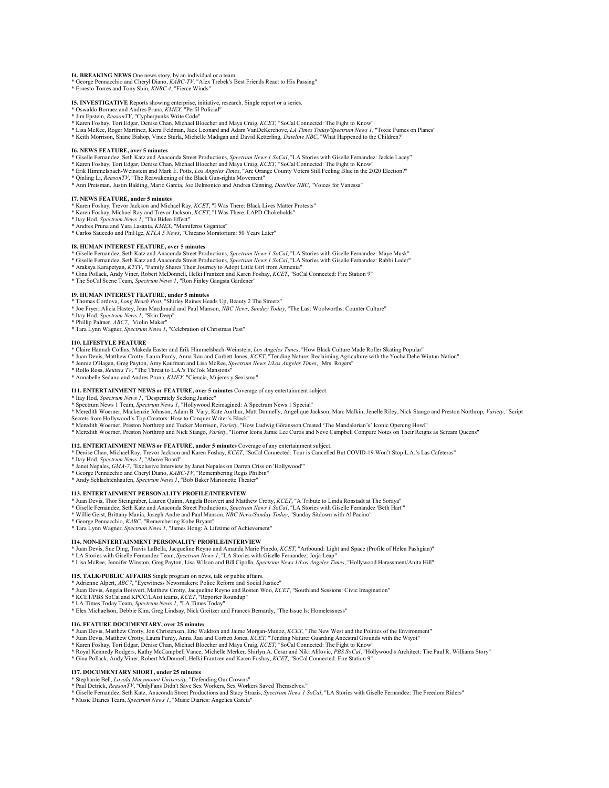# **I4. BREAKING NEWS** One news story, by an individual or a team. \* George Pennacchio and Cheryl Diano, *KABC-TV*, "Alex Trebek's Best Friends React to His Passing"

\* Ernesto Torres and Tony Shin, *KNBC 4*, "Fierce Winds"

**I5. INVESTIGATIVE** Reports showing enterprise, initiative, research. Single report or a series.

- \* Oswaldo Borraez and Andres Pruna, *KMEX*, "Perfil Policial" \* Jim Epstein, *ReasonTV*, "Cypherpunks Write Code"
- 
- \* Karen Foshay, Tori Edgar, Denise Chan, Michael Bloecher and Maya Craig, *KCET*, "SoCal Connected: The Fight to Know"
- \* Lisa McRee, Roger Martínez, Kiera Feldman, Jack Leonard and Adam VanDeKerchove, *LA Times Today/Spectrum News 1*, "Toxic Fumes on Planes"
- \* Keith Morrison, Shane Bishop, Vince Sturla, Michelle Madigan and David Ketterling, *Dateline NBC*, "What Happened to the Children?"

#### **I6. NEWS FEATURE, over 5 minutes**

- 
- \* Giselle Fernandez, Seth Katz and Anaconda Street Productions, Spectrum News 1 SoCal, "LA Stories with Giselle Fernandez: Jackie Lacey"<br>\* Karen Foshay, Tori Edgar, Denise Chan, Michael Bloecher and Maya Craig, KCET, "SoCa
- 
- \* Ann Preisman, Justin Balding, Mario Garcia, Joe Delmonico and Andrea Canning, *Dateline NBC*, "Voices for Vanessa"

- **I7. NEWS FEATURE, under 5 minutes** \* Karen Foshay, Trevor Jackson and Michael Ray, *KCET*, "I Was There: Black Lives Matter Protests"
- \* Karen Foshay, Michael Ray and Trevor Jackson, *KCET*, "I Was There: LAPD Chokeholds" \* Itay Hod, *Spectrum News 1*, "The Biden Effect"
- 
- \* Andres Pruna and Yara Lasanta, *KMEX*, "Mamiferos Gigantes" \* Carlos Saucedo and Phil Ige, *KTLA 5 News*, "Chicano Moratorium: 50 Years Later"
- 

### **I8. HUMAN INTEREST FEATURE, over 5 minutes**

- \* Giselle Fernandez, Seth Katz and Anaconda Street Productions, *Spectrum News 1 SoCal*, "LA Stories with Giselle Fernandez: Maye Musk"
- \* Giselle Fernandez, Seth Katz and Anaconda Street Productions, *Spectrum News 1 SoCal*, "LA Stories with Giselle Fernandez: Rabbi Leder"
- \* Araksya Karapetyan, *KTTV*, "Family Shares Their Journey to Adopt Little Girl from Armenia" \* Gina Pollack, Andy Viner, Robert McDonnell, Helki Frantzen and Karen Foshay, *KCET*, "SoCal Connected: Fire Station 9"
- \* The SoCal Scene Team, *Spectrum News 1*, "Ron Finley Gangsta Gardener"
- 

# **I9. HUMAN INTEREST FEATURE, under 5 minutes**

- \* Thomas Cordova, *Long Beach Post*, "Shirley Raines Heads Up, Beauty 2 The Streetz" \* Joe Fryer, Alicia Hastey, Jean Macdonald and Paul Manson, *NBC News, Sunday Today*, "The Last Woolworths: Counter Culture"
- \* Itay Hod, *Spectrum News 1*, "Skin Deep"
- \* Phillip Palmer, *ABC7*, "Violin Maker"
- \* Tara Lynn Wagner, *Spectrum News 1*, "Celebration of Christmas Past"

#### **I10. LIFESTYLE FEATURE**

- 
- \* Claire Hannah Collins, Makeda Easter and Erik Himmelsbach-Weinstein*, Los Angeles Times*, "How Black Culture Made Roller Skating Popular"<br>\* Juan Devis, Matthew Crotty, Laura Purdy, Anna Rau and Corbett Jones, *KCET*, "Te
- \* Jennie O'Hagan, Greg Payton, Amy Kaufman and Lisa McRee, *Spectrum News 1/Los Angeles Times*, "Mrs. Rogers"
- \* Rollo Ross, *Reuters TV*, "The Threat to L.A.'s TikTok Mansions" \* Annabelle Sedano and Andres Pruna, *KMEX*, "Ciencia, Mujeres y Sexismo"
- 

#### **I11. ENTERTAINMENT NEWS or FEATURE, over 5 minutes** Coverage of any entertainment subject.

- 
- \* Itay Hod, *Spectrum News 1*, "Desperately Seeking Justice" \* Spectrum News 1 Team, *Spectrum News 1*, "Hollywood Reimagined: A Spectrum News 1 Special"
- \* Meredith Woerner, Mackenzie Johnson, Adam B. Vary, Kate Aurthur, Matt Donnelly, Angelique Jackson, Marc Malkin, Jenelle Riley, Nick Stango and Preston Northrop, *Variety*, "Script<br>Secrets from Hollywood's Top Creators: H
- \* Meredith Woerner, Preston Northrop and Tucker Morrison, *Variety*, "How Ludwig Göransson Created 'The Mandalorian's' Iconic Opening Howl"
- \* Meredith Woerner, Preston Northrop and Nick Stango, *Variety*, "Horror Icons Jamie Lee Curtis and Neve Campbell Compare Notes on Their Reigns as Scream Queens"

- **I12. ENTERTAINMENT NEWS or FEATURE, under 5 minutes** Coverage of any entertainment subject.<br>\* Denise Chan, Michael Ray, Trevor Jackson and Karen Foshay, *KCET,* "SoCal Connected: Tour is Cancelled But COVID-19 Won't Stop
- \* Itay Hod, *Spectrum News 1*, "Above Board"
- 
- \* Janet Nepales, *GMA-7*, "Exclusive Interview by Janet Nepales on Darren Criss on 'Hollywood'" \* George Pennacchio and Cheryl Diano, *KABC-TV*, "Remembering Regis Philbin"
- \* Andy Schlachtenhaufen, *Spectrum News 1*, "Bob Baker Marionette Theater"

#### **I13. ENTERTAINMENT PERSONALITY PROFILE/INTERVIEW**

- \* Juan Devis, Thor Steingraber, Lauren Quinn, Angela Boisvert and Matthew Crotty, KCET, "A Tribute to Linda Ronstadt at The Soraya"<br>\* Giselle Fernandez, Seth Katz and Anaconda Street Productions, Spectrum News 1 SoCal, "LA
- 
- \* Willie Geist, Brittany Mania, Joseph Andre and Paul Manson, *NBC News/Sunday Today*, "Sunday Sitdown with Al Pacino"<br>\* George Pennacchio, *KABC, "*Remembering Kobe Bryant"<br>\* Tara Lynn Wagner, *Spectrum News 1*, "James Ho
- 
- 

### **I14. NON-ENTERTAINMENT PERSONALITY PROFILE/INTERVIEW**

- \* Juan Devis, Sue Ding, Travis LaBella, Jacqueline Reyno and Amanda Marie Pinedo, *KCET*, "Artbound: Light and Space (Profile of Helen Pashgian)"<br>\* LA Stories with Giselle Fernandez Team, S*pectrum News 1*, "LA Stories wit
- 
- \* Lisa McRee, Jennifer Winston, Greg Payton, Lisa Wilson and Bill Cipolla, *Spectrum News 1/Los Angeles Times*, "Hollywood Harassment/Anita Hill"

#### **I15. TALK/PUBLIC AFFAIRS** Single program on news, talk or public affairs.

- 
- \* Adrienne Alpert, ABC7, "Eyewitness Newsmakers: Police Reform and Social Justice"<br>\* Juan Devis, Angela Boisvert, Matthew Crotty, Jacqueline Reyno and Rosten Woo, *KCET*, "Southland Sessions: Civic Imagination"<br>\* KCET/PBS
- 
- 
- \* LA Times Today Team, *Spectrum News 1*, "LA Times Today" \* Elex Michaelson, Debbie Kim, Greg Lindsay, Nick Greitzer and Frances Bernardy, "The Issue Is: Homelessness"

**I16. FEATURE DOCUMENTARY, over 25 minutes** \* Juan Devis, Matthew Crotty, Jon Christensen, Eric Waldron and Jaime Morgan-Munoz, *KCET*, "The New West and the Politics of the Environment"

- 
- \* Juan Devis, Matthew Crotty, Laura Purdy, Anna Rau and Corbett Jones, *KCET*, "Tending Nature: Guarding Ancestral Grounds with the Wiyot"<br>\* Karen Foshay, Tori Edgar, Denise Chan, Michael Bloecher and Maya Craig, *KCET,* "
- \* Gina Pollack, Andy Viner, Robert McDonnell, Helki Frantzen and Karen Foshay, *KCET*, "SoCal Connected: Fire Station 9"

### **I17. DOCUMENTARY SHORT, under 25 minutes**

- \* Stephanie Bell, *Loyola Marymount University*, "Defending Our Crowns" \* Paul Detrick, *ReasonTV*, "OnlyFans Didn't Save Sex Workers, Sex Workers Saved Themselves."
- \* Giselle Fernandez, Seth Katz, Anaconda Street Productions and Stacy Strazis, Spectrum News 1 SoCal, "LA Stories with Giselle Fernandez: The Freedom Riders"<br>\* Music Diaries Team, Spectrum News 1, "Music Diaries: Angelica
-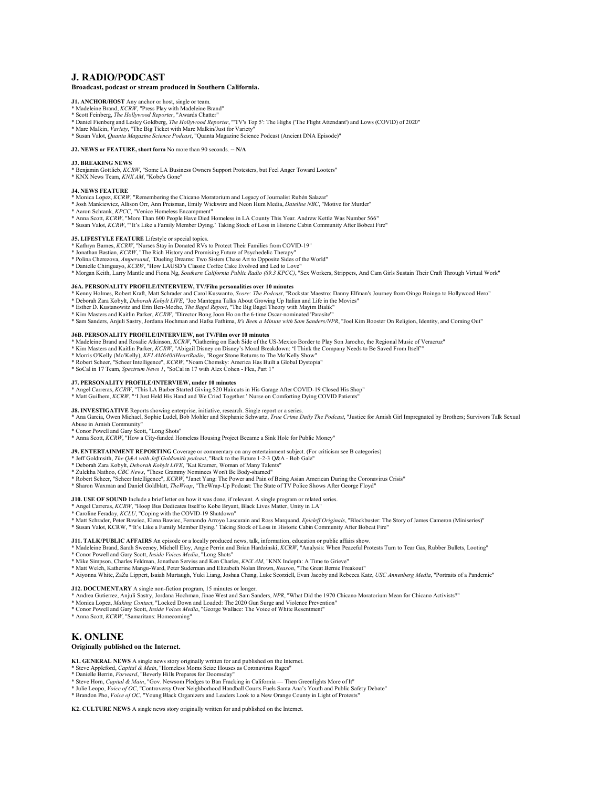# **J. RADIO/PODCAST**

### **Broadcast, podcast or stream produced in Southern California.**

**J1. ANCHOR/HOST** Any anchor or host, single or team. \* Madeleine Brand, *KCRW*, "Press Play with Madeleine Brand"

- 
- \* Scott Feinberg, *The Hollywood Reporter,* "Awards Chatter"<br>\* Daniel Fienberg and Lesley Goldberg, *The Hollywood Reporter,* "'TV's Top 5': The Highs ("The Flight Attendant') and Lows (COVID) of 2020"<br>\* Marc Malkin, *Vari*
- 
- \* Susan Valot, *Quanta Magazine Science Podcast*, "Quanta Magazine Science Podcast (Ancient DNA Episode)"

#### **J2. NEWS or FEATURE, short form** No more than 90 seconds. **-- N/A**

#### **J3. BREAKING NEWS**

\* Benjamin Gottlieb, *KCRW*, "Some LA Business Owners Support Protesters, but Feel Anger Toward Looters"

\* KNX News Team, *KNX AM*, "Kobe's Gone"

- **J4. NEWS FEATURE**
- \* Monica Lopez, *KCRW*, "Remembering the Chicano Moratorium and Legacy of Journalist Rubén Salazar"
- \* Josh Mankiewicz, Allison Orr, Ann Preisman, Emily Wickwire and Neon Hum Media, *Dateline NBC*, "Motive for Murder"
- 
- \* Aaron Schrank, *KPCC*, "Venice Homeless Encampment" \* Anna Scott, *KCRW*, "More Than 600 People Have Died Homeless in LA County This Year. Andrew Kettle Was Number 566" \* Susan Valot, *KCRW*, "'It's Like a Family Member Dying.' Taking Stock of Loss in Historic Cabin Community After Bobcat Fire"

### **J5. LIFESTYLE FEATURE** Lifestyle or special topics.

- 
- \* Kathryn Barnes, *KCRW*, "Nurses Stay in Donated RVs to Protect Their Families from COVID-19" \* Jonathan Bastian, *KCRW*, "The Rich History and Promising Future of Psychedelic Therapy"
- \* Polina Cherezova, *Ampersand*, "Dueling Dreams: Two Sisters Chase Art to Opposite Sides of the World" \* Danielle Chiriguayo, *KCRW*, "How LAUSD's Classic Coffee Cake Evolved and Led to Love"
- 
- \* Morgan Keith, Larry Mantle and Fiona Ng, *Southern California Public Radio (89.3 KPCC)*, "Sex Workers, Strippers, And Cam Girls Sustain Their Craft Through Virtual Work"

### **J6A. PERSONALITY PROFILE/INTERVIEW, TV/Film personalities over 10 minutes**

- \* Kenny Holmes, Robert Kraft, Matt Schrader and Carol Kuswanto, *Score: The Podcast*, "Rockstar Maestro: Danny Elfman's Journey from Oingo Boingo to Hollywood Hero"
- \* Deborah Zara Kobylt, *Deborah Kobylt LIVE*, "Joe Mantegna Talks About Growing Up Italian and Life in the Movies"<br>\* Esther D. Kustanowitz and Erin Ben-Moche, *The Bagel Report*, "The Big Bagel Theory with Mayim Bialik"
- 
- 
- \* Kim Masters and Kaitlin Parker, *KCRW*, "Director Bong Joon Ho on the 6-time Oscar-nominated 'Parasite'"<br>\* Sam Sanders, Anjuli Sastry, Jordana Hochman and Hafsa Fathima, *It's Been a Minute with Sam Sanders/NPR*, "Joel K

#### **J6B. PERSONALITY PROFILE/INTERVIEW, not TV/Film over 10 minutes**

- \* Madeleine Brand and Rosalie Atkinson, *KCRW*, "Gathering on Each Side of the US-Mexico Border to Play Son Jarocho, the Regional Music of Veracruz"
- \* Kim Masters and Kaitlin Parker, *KCRW,* "Abigail Disney on Disney's Moral Breakdown: 'I Think the Company Needs to Be Saved From Itself"<br>\* Morris O'Kelly (Mo'Kelly), *KFI AM640/iHeartRadio,* "Roger Stone Returns to The M
- 
- \* Robert Scheer, "Scheer Intelligence", *KCRW*, "Noam Chomsky: America Has Built a Global Dystopia" \* SoCal in 17 Team, *Spectrum News 1*, "SoCal in 17 with Alex Cohen Flea, Part 1"
- 

**J7. PERSONAL.ITY PROFIL.E/INTERVIEW, under 10 minutes**<br>\* Angel Carreras, *KCRW,* "This LA Barber Started Giving \$20 Haircuts in His Garage After COVID-19 Closed His Shop"<br>\* Matt Guilhem, *KCRW,* ""I Just Held His Hand and

#### **J8. INVESTIGATIVE** Reports showing enterprise, initiative, research. Single report or a series.

\* Ana Garcia, Owen Michael, Sophie Ludel, Bob Mohler and Stephanie Schwartz, *True Crime Daily The Podcast*, "Justice for Amish Girl Impregnated by Brothers; Survivors Talk Sexual Abuse in Amish Community"

- \* Conor Powell and Gary Scott, "Long Shots"
- \* Anna Scott, *KCRW*, "How a City-funded Homeless Housing Project Became a Sink Hole for Public Money"

# **J9. ENTERTAINMENT REPORTING** Coverage or commentary on any entertainment subject. (For criticism see B categories)

- \* Jeff Goldmsith, *The Q&A with Jeff Goldsmith podcast*, "Back to the Future 1-2-3 Q&A Bob Gale" \* Deborah Zara Kobylt, *Deborah Kobylt LIVE*, "Kat Kramer, Woman of Many Talents"
- 
- 
- \* Zulekha Nathoo, *CBC News*, "These Grammy Nominees Won't Be Body-shamed"<br>\* Robert Scheer, "Scheer Intelligence", *KCRW,* "Janet Yang: The Power and Pain of Being Asian American During the Coronavirus Crisis"<br>\* Sharon Wax
- 

**J10. USE OF SOUND** Include a brief letter on how it was done, if relevant. A single program or related series.

\* Angel Carreras, *KCRW*, "Hoop Bus Dedicates Itself to Kobe Bryant, Black Lives Matter, Unity in LA"

\* Caroline Feraday, *KCLU,* "Coping with the COVID-19 Shutdown"<br>\* Matt Schrader, Peter Bawiec, Elena Bawiec, Fernando Arroyo Lascurain and Ross Marquand, *Epicleff Originals,* "Blockbuster: The Story of James Cameron (Mini

\* Susan Valot, KCRW, "'It's Like a Family Member Dying.' Taking Stock of Loss in Historic Cabin Community After Bobcat Fire"

# **J11. TALK/PUBLIC AFFAIRS** An episode or a locally produced news, talk, information, education or public affairs show.

- \* Madeleine Brand, Sarah Sweeney, Michell Eloy, Angie Perrin and Brian Hardzinski, KCRW, "Analysis: When Peaceful Protests Turn to Tear Gas, Rubber Bullets, Looting"<br>\* Conor Powell and Gary Scott, *Inside Voices Media*, "L
- 
- 

\* Mike Simpson, Charles Feldman, Jonathan Serviss and Ken Charles, *KNX AM,* "KNX Indepth: A Time to Grieve"<br>\* Matt Welch, Katherine Mangu-Ward, Peter Sudeman and Elizabeth Nolan Brown, *Reason,* "The Great Bernie Freakout

**J12. DOCUMENTARY** A single non-fiction program, 15 minutes or longer.

\* Andrea Gutierrez, Anjuli Sastry, Jordana Hochman, Jinae West and Sam Sanders, *NPR*, "What Did the 1970 Chicano Moratorium Mean for Chicano Activists?"<br>\* Monica Lopez, *Making Contact*, "Locked Down and Loaded: The 2020

- 
- \* Conor Powell and Gary Scott, *Inside Voices Media*, "George Wallace: The Voice of White Resentment"
- \* Anna Scott, *KCRW*, "Samaritans: Homecoming"

# **K. ONLINE**

# **Originally published on the Internet.**

**K1. GENERAL NEWS** A single news story originally written for and published on the Internet.

- \* Steve Appleford, *Capital & Main*, "Homeless Moms Seize Houses as Coronavirus Rages"
- \* Danielle Berrin, *Forward*, "Beverly Hills Prepares for Doomsday"
- \* Steve Horn, *Capital & Main*, "Gov. Newsom Pledges to Ban Fracking in California Then Greenlights More of It"
- \* Julie Leopo, *Voice of OC*, "Controversy Over Neighborhood Handball Courts Fuels Santa Ana's Youth and Public Safety Debate"
- \* Brandon Pho, *Voice of OC*, "Young Black Organizers and Leaders Look to a New Orange County in Light of Protests"

**K2. CULTURE NEWS** A single news story originally written for and published on the In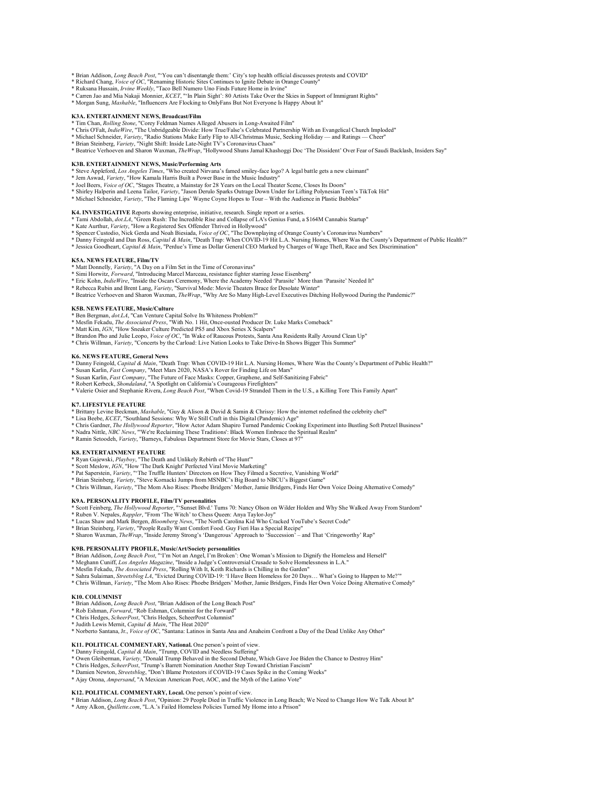- \* Brian Addison, *Long Beach Post*, "You can't disentangle them: ' City's top health official discusses protests and COVID"<br>\* Richard Chang, *Voice of OC*, "Renaming Historic Sites Continues to Ignite Debate in Orange Coun
- \* Ruksana Hussain, *Irvine Weekly*, "Taco Bell Numero Uno Finds Future Home in Irvine"
- 
- \* Carren Jao and Mia Nakaji Monnier, *KCET*, "'In Plain Sight': 80 Artists Take Over the Skies in Support of Immigrant Rights"<br>\* Morgan Sung, *Mashable*, "Influencers Are Flocking to OnlyFans But Not Everyone Is Happy Abou

#### **K3A. ENTERTAINMENT NEWS, Broadcast/Film**

- \* Tim Chan, *Rolling Stone*, "Corey Feldman Names Alleged Abusers in Long-Awaited Film"<br>\* Chris O'Falt, *IndieWire*, "The Unbridgeable Divide: How True/False's Celebrated Partnership With an Evangelical Church Imploded"
- 
- 
- \* Michael Schneider, *Variety,* "Radio Stations Make Early Flip to All-Christmas Music, Seeking Holiday and Ratings Cheer"<br>\* Brian Steinberg, *Variety,* "Night Shift: Inside Late-Night TV's Coronavirus Chaos"<br>\* Beatric

### **K3B. ENTERTAINMENT NEWS, Music/Performing Arts**

- \* Steve Appleford, *Los Angeles Times*, "Who created Nirvana's famed smiley-face logo? A legal battle gets a new claimant"
- \* Jem Aswad, *Variety*, "How Kamala Harris Built a Power Base in the Music Industry"
- \* Joel Beers, *Voice of OC*, "Stages Theatre, a Mainstay for 28 Years on the Local Theater Scene, Closes Its Doors"<br>\* Shirley Halperin and Leena Tailor, *Variety*, "Jason Derulo Sparks Outrage Down Under for Lifting Polyne
- 
- \* Michael Schneider, *Variety*, "The Flaming Lips' Wayne Coyne Hopes to Tour With the Audience in Plastic Bubbles"

# K4. INVESTIGATIVE Reports showing enterprise, initiative, research. Single report or a series.<br>\* Tami Abdollah, *dot.LA*, "Green Rush: The Incredible Rise and Collapse of LA's Genius Fund, a \$164M Cannabis Startup"

- \* Kate Aurthur, *Variety*, "How a Registered Sex Offender Thrived in Hollywood"
- 
- \* Spencer Custodio, Nick Gerda and Noah Biesiada, *Voice of OC*, "The Downplaying of Orange County's Coronavirus Numbers"<br>\* Danny Feingold and Dan Ross, *Capital & Main*, "Death Trap: When COVID-19 Hit L.A. Nursing Homes,
- \* Jessica Goodheart, *Capital & Main*, "Perdue's Time as Dollar General CEO Marked by Charges of Wage Theft, Race and Sex Discrimination"

#### **K5A. NEWS FEATURE, Film/TV**

- 
- \* Matt Donnelly, *Variety*, "A Day on a Film Set in the Time of Coronavirus" \* Simi Horwitz, *Forward*, "Introducing Marcel Marceau, resistance fighter starring Jesse Eisenberg"
- \* Eric Kohn, *IndieWire*, "Inside the Oscars Ceremony, Where the Academy Needed 'Parasite' More than 'Parasite' Needed It"
- 
- \* Rebecca Rubin and Brent Lang, *Variety*, "Survival Mode: Movie Theaters Brace for Desolate Winter"<br>\* Beatrice Verhoeven and Sharon Waxman, *TheWrap*, "Why Are So Many High-Level Executives Ditching Hollywood During the P

#### **K5B. NEWS FEATURE, Music/Culture**

- \* Ben Bergman, *dot.LA*, "Can Venture Capital Solve Its Whiteness Problem?"
- \* Mesfin Fekadu, *The Associated Press*, "With No. 1 Hit, Once-ousted Producer Dr. Luke Marks Comeback" \* Matt Kim, *IGN*, "How Sneaker Culture Predicted PS5 and Xbox Series X Scalpers"
- 
- \* Brandon Pho and Julie Leopo, *Voice of OC*, "In Wake of Raucous Protests, Santa Ana Residents Rally Around Clean Up"<br>\* Chris Willman, *Variety*, "Concerts by the Carload: Live Nation Looks to Take Drive-In Shows Bigger T

#### **K6. NEWS FEATURE, General News**

- \* Danny Feingold, *Capital & Main*, "Death Trap: When COVID-19 Hit L.A. Nursing Homes, Where Was the County's Department of Public Health?"<br>\* Susan Karlin, Fast Company, "Meet Mars 2020, NASA's Rover for Finding Life on Ma
- 
- 
- 

#### \* Valerie Osier and Stephanie Rivera, *Long Beach Post*, "When Covid-19 Stranded Them in the U.S., a Killing Tore This Family Apart"

#### **K7. LIFESTYLE FEATURE**

- \* Brittany Levine Beckman, *Mashable*, "Guy & Alison & David & Samin & Chrissy: How the internet redefined the celebrity chef"<br>\* Lisa Beebe, *KCET*, "Southland Sessions: Why We Still Craft in this Digital (Pandemic) Age"
- 
- \* Chris Gardner, *The Hollywood Reporter*, "How Actor Adam Shapiro Turned Pandemic Cooking Experiment into Bustling Soft Pretzel Business"
- \* Nadra Nittle, *NBC News*, "'We're Reclaiming These Traditions': Black Women Embrace the Spiritual Realm" \* Ramin Setoodeh, *Variety*, "Barneys, Fabulous Department Store for Movie Stars, Closes at 97"
- 

#### **K8. ENTERTAINMENT FEATURE**

- 
- 
- \* Ryan Gajewski, *Playboy*, "The Death and Unlikely Rebirth of 'The Hunt'"<br>\* Scott Meslow, *IGN*, "How 'The Dark Knight' Perfected Viral Movie Marketing"<br>\* Pat Saperstein, *Variety,* "The Truffle Hunters' Directors on How
- 
- \* Chris Willman, *Variety*, "The Mom Also Rises: Phoebe Bridgers' Mother, Jamie Bridgers, Finds Her Own Voice Doing Alternative Comedy"

- **K9A. PERSONALITY PROFILE, Film/TV personalities** \* Scott Feinberg, *The Hollywood Reporter*, "'Sunset Blvd.' Turns 70: Nancy Olson on Wilder Holden and Why She Walked Away From Stardom"
- 
- \* Ruben V. Nepales, *Rappler*, "From 'The Witch' to Chess Queen: Anya Taylor-Joy" \* Lucas Shaw and Mark Bergen, *Bloomberg News*, "The North Carolina Kid Who Cracked YouTube's Secret Code"
- \* Brian Steinberg, *Variety*, "People Really Want Comfort Food. Guy Fieri Has a Special Recipe"
- \* Sharon Waxman, *TheWrap*, "Inside Jeremy Strong's 'Dangerous' Approach to 'Succession' and That 'Cringeworthy' Rap"

- **K9B. PERSONALITY PROFILE, Music/Art/Society personalities** \* Brian Addison, *Long Beach Post*, "'I'm Not an Angel, I'm Broken': One Woman's Mission to Dignify the Homeless and Herself"
- \* Meghann Cuniff, *Los Angeles Magazine*, "Inside a Judge's Controversial Crusade to Solve Homelessness in L.A."
- 
- \* Mesfin Fekadu, *The Associated Press*, "Rolling With It, Keith Richards is Chilling in the Garden"<br>\* Sahra Sulaiman, *Streetsblog LA*, "Evicted During COVID-19: 'I Have Been Homeless for 20 Days… What's Going to Happen t \* Chris Willman, *Variety*, "The Mom Also Rises: Phoebe Bridgers' Mother, Jamie Bridgers, Finds Her Own Voice Doing Alternative Comedy"

### **K10. COLUMNIST**

- 
- \* Brian Addison, *Long Beach Post*, "Brian Addison of the Long Beach Post" \* Rob Eshman, *Forward*, "Rob Eshman, Columnist for the Forward"
- \* Chris Hedges, *ScheerPost*, "Chris Hedges, ScheerPost Columnist"
- 
- \* Judith Lewis Mernit, *Capital & Main*, "The Heat 2020" \* Norberto Santana, Jr., *Voice of OC*, "Santana: Latinos in Santa Ana and Anaheim Confront a Day of the Dead Unlike Any Other"

- 
- **K11. POLITICAL COMMENTARY, National.** One person's point of view.<br>\* Danny Feingold, Capital & Main, "Trump, COVID and Needless Suffering"<br>\* Owen Gleiberman, *Variety*, "Donald Trump Behaved in the Second Debate, Which Gav
- 
- 

# **K12. POLITICAL COMMENTARY, Local.** One person's point of view.

- \* Brian Addison, *Long Beach Post*, "Opinion: 29 People Died in Traffic Violence in Long Beach; We Need to Change How We Talk About It"<br>\* Amy Alkon, *Quillette.com*, "L.A.'s Failed Homeless Policies Turned My Home into a P
-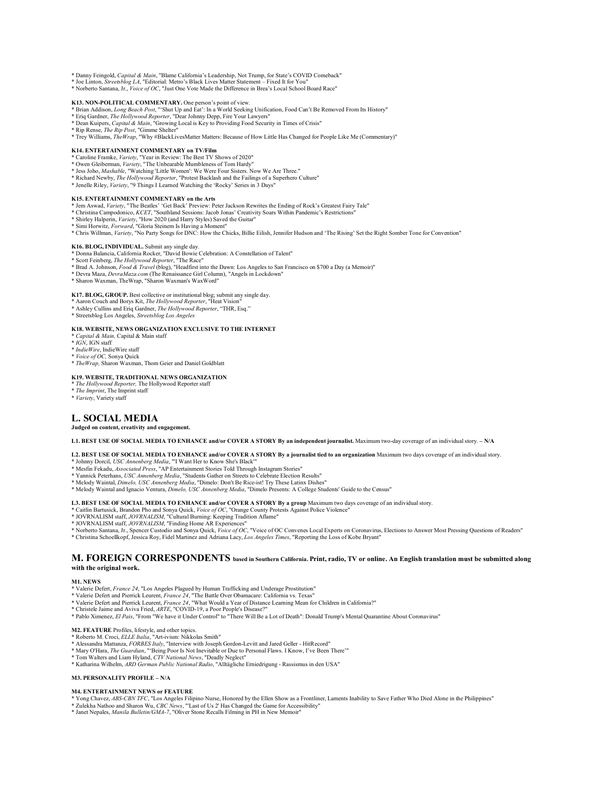\* Danny Feingold, *Capital & Main*, "Blame California's Leadership, Not Trump, for State's COVID Comeback" \* Joe Linton, *Streetsblog LA*, "Editorial: Metro's Black Lives Matter Statement – Fixed It for You"

\* Norberto Santana, Jr., *Voice of OC*, "Just One Vote Made the Difference in Brea's Local School Board Race"

- K13. NON-POLITICAL COMMENTARY. One person's point of view.<br>\* Brian Addison, *Long Beach Post*, "'Shut Up and Eat': In a World Seeking Unification, Food Can't Be Removed From Its History"<br>\* Eriq Gardner, *The Hollywood Repo*
- 
- 
- 
- \* Rip Rense, *The Rip Post*, "Gimme Shelter" \* Trey Williams, *TheWrap*, "Why #BlackLivesMatter Matters: Because of How Little Has Changed for People Like Me (Commentary)"

#### **K14. ENTERTAINMENT COMMENTARY on TV/Film**

- \* Caroline Framke, *Variet*y, "Year in Review: The Best TV Shows of 2020"<br>\* Owen Gleiberman, *Variety*, "The Unbearable Mumbleness of Tom Hardy"<br>\* Jess Joho, *Mashable*, "Watching 'Little Women': We Were Four Sisters. Now
- 
- 
- \* Richard Newby, *The Hollywood Reporter*, "Protest Backlash and the Failings of a Superhero Culture" \* Jenelle Riley, *Variety*, "9 Things I Learned Watching the 'Rocky' Series in 3 Days"
- 

- K15. ENTERTAINMENT COMMENTARY on the Arts<br>\* Jem Aswad, *Variety*, "The Beatles' 'Get Back' Preview: Peter Jackson Rewrites the Ending of Rock's Greatest Fairy Tale"<br>\* Christina Campodonico, *KCET*, "Southland Sessions: Jac
- 
- 
- \* Chris Willman, *Variety*, "No Party Songs for DNC: How the Chicks, Billie Eilish, Jennifer Hudson and 'The Rising' Set the Right Somber Tone for Convention"

# **K16. BLOG, INDIVIDUAL.** Submit any single day.

- 
- \* Donna Balancia, California Rocker, "David Bowie Celebration: A Constellation of Talent"<br>\* Scott Feinberg*, The Hollywood Reporter*, "The Race"<br>\* Brad A. Johnson*, Food & Travel (*blog), "Headfirst into the Dawn: Los Ange
- \* Devra Maza, *DevraMaza.com* (The Renaissance Girl Column), "Angels in Lockdown"

# \* Sharon Waxman, TheWrap, "Sharon Waxman's WaxWord"

**K17. BLOG, GROUP.** Best collective or institutional blog; submit any single day.

- 
- \* Aaron Couch and Borys Kit, *The Hollywood Reporter*, "Heat Vision" \* Ashley Cullins and Eriq Gardner, *The Hollywood Reporter*, "THR, Esq."
- \* Streetsblog Los Angeles, *Streetsblog Los Angeles*

#### **K18. WEBSITE, NEWS ORGANIZATION EXCLUSIVE TO THE INTERNET**

- \* *Capital & Main,* Capital & Main staff
- \* *IGN*, IGN staff
- \* *IndieWire*, IndieWire staff \* *Voice of OC,* Sonya Quick
- 
- \* *TheWrap,* Sharon Waxman, Thom Geier and Daniel Goldblatt

# **K19. WEBSITE, TRADITIONAL NEWS ORGANIZATION**

- \* *The Hollywood Reporter,* The Hollywood Reporter staff
- \* *The Imprint*, The Imprint staff
- \* *Variety*, Variety staff

# **L. SOCIAL MEDIA**

### **Judged on content, creativity and engagement.**

#### **L1. BEST USE OF SOCIAL MEDIA TO ENHANCE and/or COVER A STORY By an independent journalist.** Maximum two-day coverage of an individual story. **– N/A**

#### **L2. BEST USE OF SOCIAL MEDIA TO ENHANCE and/or COVER A STORY By a journalist tied to an organization** Maximum two days coverage of an individual story.

- 
- 
- \* Johnny Dorcil, *USC Annenberg Media,* "'I Want Her to Know She's Black'"<br>\* Mesfin Fekadu*, Associated Press,* "AP Entertainment Stories Told Through Instagram Stories"<br>\* Yannick Peterhans, *USC Annenberg Media,* "Student
- \* Melody Waintal, *Dimelo, USC Annenberg Media*, "Dimelo: Don't Be Rice-ist! Try These Latinx Dishes"<br>\* Melody Waintal and Ignacio Ventura, *Dimelo, USC Annenberg Media*, "Dimelo Presents: A College Students' Guide to the
- 

# L3. BEST USE OF SOCIAL MEDIA TO ENHANCE and/or COVER A STORY By a group Maximum two days coverage of an individual story.<br>\* Caitlin Bartusick, Brandon Pho and Sonya Quick, *Voice of OC*, "Orange County Protests Against Pol

- 
- 
- 
- \* Norberto Santana, Jr., Spencer Custodio and Sonya Quick, *Voice of OC*, "Voice of OC Convenes Local Experts on Coronavirus, Elections to Answer Most Pressing Questions of Readers"
- \* Christina Schoellkopf, Jessica Roy, Fidel Martinez and Adriana Lacy, *Los Angeles Times*, "Reporting the Loss of Kobe Bryant"

# **M. FOREIGN CORRESPONDENTS based in Southern California. Print, radio, TV or online. An English translation must be submitted along with the original work.**

#### **M1. NEWS**

- \* Valerie Defert, *France 24*, "Los Angeles Plagued by Human Trafficking and Underage Prostitution"
- \* Valerie Defert and Pierrick Leurent, France 24, "The Battle Over Obamacare: California vs. Texas"<br>\* Valerie Defert and Pierrick Leurent, France 24, "What Would a Year of Distance Learning Mean for Children in California?
- 
- \* Christele Jaime and Aviva Fried, *ARTE*, "COVID-19, a Poor People's Disease?"
- \* Pablo Ximenez, *El Pais*, "From "We have it Under Control" to "There Will Be a Lot of Death": Donald Trump's Mental Quarantine About Coronavirus"

- 
- **M2. FEATURE** Profiles, lifestyle, and other topics.<br>\* Roberto M. Croci, *ELLE Italia*, "Art-ivism: Nikkolas Smith"<br>\* Alessandra Mattanza, *FORBES Italy*, "Interview with Joseph Gordon-Levitt and Jared Geller HitRecord"
- \* Mary O'Hara, *The Guardian*, "'Being Poor Is Not Inevitable or Due to Personal Flaws. I Know, I've Been There'"<br>\* Tom Walters and Liam Hyland, CTV<sup>,</sup> Nati*onal News,* "Deadly Neglect"<br>\* Katharina Wilhelm, *ARD German Pub*
- 
- 

#### **M3. PERSONALITY PROFILE – N/A**

#### **M4. ENTERTAINMENT NEWS or FEATURE**

- \* Yong Chavez*, ABS-CBN TFC,* "Los Angeles Filipino Nurse, Honored by the Ellen Show as a Frontliner, Laments Inability to Save Father Who Died Alone in the Philippines"<br>\* Zulekha Nathoo and Sharon Wu, C*BC News,* "Last of
- 
-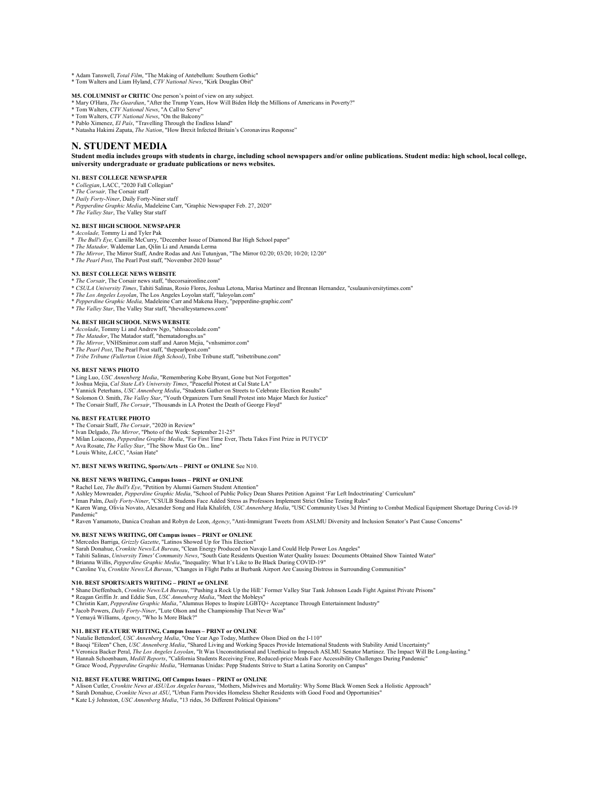\* Adam Tanswell, *Total Film*, "The Making of Antebellum: Southern Gothic" \* Tom Walters and Liam Hyland, *CTV National News*, "Kirk Douglas Obit"

**M5. COLUMNIST or CRITIC** One person's point of view on any subject.

- \* Mary O'Hara, *The Guardian*, "After the Trump Years, How Will Biden Help the Millions of Americans in Poverty?"<br>\* Tom Walters, *CTV National News,* "A Call to Serve"<br>\* Tom Walters, *CTV National News*, "On the Balcony"
- 
- \* Pablo Ximenez, *El País*, "Travelling Through the Endless Island"
- \* Natasha Hakimi Zapata, *The Nation*, "How Brexit Infected Britain's Coronavirus Response"

### **N. STUDENT MEDIA**

**Student media includes groups with students in charge, including school newspapers and/or online publications. Student media: high school, local college, university undergraduate or graduate publications or news websites.** 

#### **N1. BEST COLLEGE NEWSPAPER**

- 
- \* *Collegian*, LACC, "2020 Fall Collegian" \* *The Corsair,* The Corsair staff
- 
- \* *Daily Forty-Niner*, Daily Forty-Niner staff \* *Pepperdine Graphic Media*, Madeleine Carr, "Graphic Newspaper Feb. 27, 2020"
- \* *The Valley Star*, The Valley Star staff
- **N2. BEST HIGH SCHOOL NEWSPAPER**
- 
- \* *Accolade,* Tommy Li and Tyler Pak \* *The Bull's Eye,* Camille McCurry, "December Issue of Diamond Bar High School paper"
- \* *The Matador,* Waldemar Lan, Qilin Li and Amanda Lerma
- \* *The Mirror*, The Mirror Staff, Andre Rodas and Ani Tutunjyan, "The Mirror 02/20; 03/20; 10/20; 12/20" \* *The Pearl Post*, The Pearl Post staff, "November 2020 Issue"
- **N3. BEST COLLEGE NEWS WEBSITE**
- \* *The Corsair*, The Corsair news staff, "thecorsaironline.com"
- \* *CSULA University Times*, Tahiti Salinas, Rosio Flores, Joshua Letona, Marisa Martinez and Brennan Hernandez, "csulauniversitytimes.com"
- The Los Angeles Loyolan, The Los Angeles Loyolan staff, "laloyolan.com"
- \* *Pepperdine Graphic Media,* Madeleine Carr and Makena Huey, "pepperdine-graphic.com" \* *The Valley Star*, The Valley Star staff, "thevalleystarnews.com"

- **N4. BEST HIGH SCHOOL NEWS WEBSITE**
- \* *Accolade*, Tommy Li and Andrew Ngo, "shhsaccolade.com" \* *The Matador*, The Matador staff, "thematadorsghs.us"
- \* *The Mirror*, VNHSmirror.com staff and Aaron Mejia, "vnhsmirror.com"
- 
- \* *The Pearl Post*, The Pearl Post staff, "thepearlpost.com" \* *Tribe Tribune (Fullerton Union High School)*, Tribe Tribune staff, "tribetribune.com"
- **N5. BEST NEWS PHOTO**
- 
- \* Ling Luo, *USC Annenberg Media*, "Remembering Kobe Bryant, Gone but Not Forgotten" \* Joshua Mejia, *Cal State LA's University Times*, "Peaceful Protest at Cal State LA"
- 
- \* Yannick Peterhans*, USC Amenberg Media,* "Students Gather on Streets to Celebrate Election Results"<br>\* Solomon O. Smith, *The Valley Star<sub>,</sub> "Yo*uth Organizers Turn Small Protest into Major March for Justice"<br>\* The Corsai
- 

### **N6. BEST FEATURE PHOTO**

- \* The Corsair Staff, *The Corsair*, "2020 in Review"
- \* Ivan Delgado, *The Mirror*, "Photo of the Week: September 21-25"
- \* Milan Loiacono, *Pepperdine Graphic Media*, "For First Time Ever, Theta Takes First Prize in PUTYCD"
- \* Ava Rosate, *The Valley Star*, "The Show Must Go On... line" \* Louis White, *LACC*, "Asian Hate"
- 

#### **N7. BEST NEWS WRITING, Sports/Arts – PRINT or ONLINE** See N10.

#### **N8. BEST NEWS WRITING, Campus Issues – PRINT or ONLINE**

- \* Rachel Lee, *The Bull's Eye,* "Petition by Alumni Garners Student Attention"<br>\* Ashley Mowreader, *Pepperdine Graphic Media,* "School of Public Policy Dean Shares Petition Against 'Far Left Indoctrinating' Curriculum"
- 
- \* Iman Palm, *Daily Forty-Niner,* "CSULB Students Face Added Stress as Professors Implement Strict Online Testing Rules"<br>\* Karen Wang, Olivia Novato, Alexander Song and Hala Khalifeh, *USC Annenberg Media*, "USC Community

Pandemic" \* Raven Yamamoto, Danica Creahan and Robyn de Leon, *Agency*, "Anti-Immigrant Tweets from ASLMU Diversity and Inclusion Senator's Past Cause Concerns"

#### **N9. BEST NEWS WRITING, Off Campus issues – PRINT or ONLINE**

- 
- \* Mercedes Barriga, *Grizzly Gazette*, "Latinos Showed Up for This Election" \* Sarah Donahue, *Cronkite News/LA Bureau*, "Clean Energy Produced on Navajo Land Could Help Power Los Angeles"
- \* Tahiti Salinas, *University Times' Community News*, "South Gate Residents Question Water Quality Issues: Documents Obtained Show Tainted Water"
- \* Brianna Willis, *Pepperdine Graphic Media*, "Inequality: What It's Like to Be Black During COVID-19"
- \* Caroline Yu, *Cronkite News/LA Bureau*, "Changes in Flight Paths at Burbank Airport Are Causing Distress in Surrounding Communities"

- N10. BEST SPORTS/ARTS WRITING PRINT or ONLINE<br>\* Shane Dieffenbach, Cronkite News/LA Bureau, ""Pushing a Rock Up the Hill:' Former Valley Star Tank Johnson Leads Fight Against Private Prisons"<br>\* Reagan Griffin Jr. and Edd
- 
- 
- 
- 

#### **N11. BEST FEATURE WRITING, Campus Issues – PRINT or ONLINE**

- \* Natalie Bettendorf, *USC Annenberg Media*, "One Year Ago Today, Matthew Olson Died on the I-110"
- 
- \* Baoqi "Eileen" Chen, USC *Annenberg Media*, "Shared Living and Working Spaces Provide International Students with Stability Amid Uncertainty"<br>\* Veronica Backer Peral, *The Los Angeles Loyolan*, "It Was Unconstitutional a
- \* Hannah Schoenbaum, *Medill Reports*, "California Students Receiving Free, Reduced-price Meals Face Accessibility Challenges During Pandemic"
- \* Grace Wood, *Pepperdine Graphic Media*, "Hermanas Unidas: Pepp Students Strive to Start a Latina Sorority on Campus"

#### **N12. BEST FEATURE WRITING, Off Campus Issues – PRINT or ONLINE**

- \* Alison Cutler, *Cronkite News at ASU/Los Angeles bureau*, "Mothers, Midwives and Mortality: Why Some Black Women Seek a Holistic Approach"
- \* Sarah Donahue, *Cronkite News at ASU*, "Urban Farm Provides Homeless Shelter Residents with Good Food and Opportunities"
- \* Kate Lý Johnston, *USC Annenberg Media*, "13 rides, 36 Different Political Opinions"